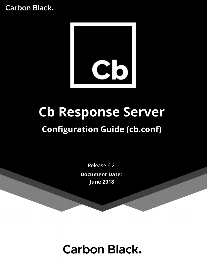**Carbon Black.** 



# **Cb Response Server Configuration Guide (cb.conf)**

Release 6.2 **Document Date: June 2018**

# **Carbon Black.**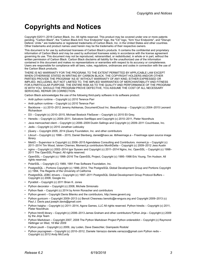# **Copyrights and Notices**

Copyright ©2011–2018 Carbon Black, Inc. All rights reserved. This product may be covered under one or more patents pending. "Carbon Black", the "Carbon Black Arm Your Endpoints" logo, the "Cb" logo, "Arm Your Endpoints", and "Disrupt. Defend. Unite." are trademarks or registered trademarks of Carbon Black, Inc. in the United States and other countries. Other trademarks and product names used herein may be the trademarks of their respective owners.

This document is for use by authorized licensees of Carbon Black's products. It contains the confidential and proprietary information of Carbon Black and may be used by authorized licensees solely in accordance with the license agreement governing its use. This document may not be reproduced, retransmitted, or redistributed, in whole or in part, without the written permission of Carbon Black. Carbon Black disclaims all liability for the unauthorized use of the information contained in this document and makes no representations or warranties with respect to its accuracy or completeness. Users are responsible for compliance with all laws, rules, regulations, ordinances and codes in connection with the use of the Carbon Black products.

THERE IS NO WARRANTY FOR THE PROGRAM, TO THE EXTENT PERMITTED BY APPLICABLE LAW EXCEPT WHEN OTHERWISE STATED IN WRITING BY CARBON BLACK. THE COPYRIGHT HOLDERS AND/OR OTHER PARTIES PROVIDE THE PROGRAM "AS IS" WITHOUT WARRANTY OF ANY KIND, EITHER EXPRESSED OR IMPLIED, INCLUDING, BUT NOT LIMITED TO, THE IMPLIED WARRANTIES OF MERCHANTABILITY AND FITNESS FOR A PARTICULAR PURPOSE. THE ENTIRE RISK AS TO THE QUALITY AND PERFORMANCE OF THE PROGRAM IS WITH YOU. SHOULD THE PROGRAM PROVE DEFECTIVE, YOU ASSUME THE COST OF ALL NECESSARY SERVICING, REPAIR OR CORRECTION.

Carbon Black acknowledges the use of the following third-party software in its software product:

- Antlr python runtime Copyright (c) 2010 Terence Parr
- Antlr python runtime Copyright (c) 2010 Terence Parr
- Backbone (c) 2010–2012 Jeremy Ashkenas, DocumentCloud Inc. Beautifulsoup Copyright (c) 2004–2015 Leonard Richardson
- D3 Copyright (c) 2010–2015, Michael Bostock FileSaver Copyright (c) 2015 Eli Grey.
- Heredis Copyright (c) 2009–2011, Salvatore Sanfilippo and Copyright (c) 2010–2011, Pieter Noordhuis
- Java memcached client Copyright (c) 2006–2009 Dustin Sallings and Copyright (c) 2009–2011 Couchbase, Inc.
- Jedis Copyright (c) 2010 Jonathan Leibiusky
- jQuery Copyright 2005, 2014 jQuery Foundation, Inc. and other contributors
- Libcurl Copyright (c) 1996 2015, Daniel Stenberg, daniel@haxx.se. libfreeimage.a FreeImage open source image library.
- Meld3 Supervisor is Copyright (c) 2006–2015 Agendaless Consulting and Contributors. moment.js Copyright (c) 2011–2014 Tim Wood, Iskren Chernev, Moment.js contributors MonthDelta – Copyright (c) 2009–2012 Jess Austin
- nginx Copyright (c) 2002–2014 Igor Sysoev and Copyright (c) 2011–2014 Nginx, Inc. OpenSSL Copyright (c) 1998– 2011 The OpenSSL Project. All rights reserved.
- OpenSSL Copyright (c) 1998–2016 The OpenSSL Project, Copyright (c) 1995–1998 Eric Young, Tim Hudson. All rights reserved.
- PolarSSL Copyright (C) 1989, 1991 Free Software Foundation, Inc.
- PostgreSQL Portions Copyright (c) 1996–2014, The PostgreSQL Global Development Group and Portions Copyright (c) 1994, The Regents of the University of California
- PostgreSQL JDBC drivers Copyright (c) 1997–2011 PostgreSQL Global Development Group Protocol Buffers Copyright (c) 2008, Google Inc.
- Pyrabbit Copyright (c) 2011 Brian K. Jones
- Python decorator Copyright (c) 2008, Michele Simionato
- Python flask Copyright (c) 2014 by Armin Ronacher and contributors
- Python gevent Copyright Denis Bilenko and the contributors, http://www.gevent.org
- Python gunicorn Copyright 2009–2013 (c) Benoit Chesneau benoitc@e-engura.org and Copyright 2009–2013 (c) Paul J. Davis paul.joseph.davis@gmail.com
- Python haigha Copyright (c) 2011–2014, Agora Games, LLC All rights reserved. Python hiredis Copyright (c) 2011, Pieter Noordhuis
- Python html5 library Copyright (c) 2006–2013 James Graham and other contributors Python Jinja Copyright (c) 2009 by the Jinja Team
- Python Markdown Copyright 2007, 2008 The Python Markdown Project Python ordereddict Copyright (c) Raymond Hettinger on Wed, 18 Mar 2009
- Python psutil Copyright (c) 2009, Jay Loden, Dave Daeschler, Giampaolo Rodola'
- Python psycogreen Copyright (c) 2010–2012, Daniele Varrazzo daniele.varrazzo@gmail.com Python redis Copyright (c) 2012 Andy McCurdy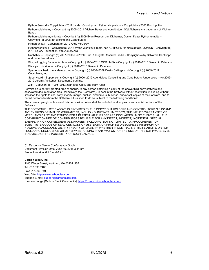- Python Seasurf Copyright (c) 2011 by Max Countryman. Python simplejson Copyright (c) 2006 Bob Ippolito
- Python sqlalchemy Copyright (c) 2005–2014 Michael Bayer and contributors. SQLAlchemy is a trademark of Michael Bayer.
- Python sqlalchemy-migrate Copyright (c) 2009 Evan Rosson, Jan Dittberner, Domen Kozar Python tempita Copyright (c) 2008 Ian Bicking and Contributors
- Python urllib3 Copyright (c) 2012 Andy McCurdy
- Python werkzeug Copyright (c) 2013 by the Werkzeug Team, see AUTHORS for more details. QUnitJS Copyright (c) 2013 jQuery Foundation, http://jquery.org/
- RabbitMQ Copyright (c) 2007–2013 GoPivotal, Inc. All Rights Reserved. redis Copyright (c) by Salvatore Sanfilippo and Pieter Noordhuis
- Simple Logging Facade for Java Copyright (c) 2004–2013 QOS.ch Six Copyright (c) 2010–2015 Benjamin Peterson
- Six yum distribution Copyright (c) 2010–2015 Benjamin Peterson
- Spymemcached / Java Memcached Copyright (c) 2006–2009 Dustin Sallings and Copyright (c) 2009–2011 Couchbase, Inc.
- Supervisord Supervisor is Copyright (c) 2006–2015 Agendaless Consulting and Contributors. Underscore (c) 2009– 2012 Jeremy Ashkenas, DocumentCloud Inc.
- Zlib Copyright (c) 1995–2013 Jean-loup Gailly and Mark Adler

Permission is hereby granted, free of charge, to any person obtaining a copy of the above third-party software and associated documentation files (collectively, the "Software"), to deal in the Software without restriction, including without limitation the rights to use, copy, modify, merge, publish, distribute, sublicense, and/or sell copies of the Software, and to permit persons to whom the Software is furnished to do so, subject to the following conditions:

The above copyright notices and this permission notice shall be included in all copies or substantial portions of the Software.

THE SOFTWARE LISTED ABOVE IS PROVIDED BY THE COPYRIGHT HOLDERS AND CONTRIBUTORS "AS IS" AND ANY EXPRESS OR IMPLIED WARRANTIES, INCLUDING, BUT NOT LIMITED TO, THE IMPLIED WARRANTIES OF MERCHANTABILITY AND FITNESS FOR A PARTICULAR PURPOSE ARE DISCLAIMED. IN NO EVENT SHALL THE COPYRIGHT OWNER OR CONTRIBUTORS BE LIABLE FOR ANY DIRECT, INDIRECT, INCIDENTAL, SPECIAL, EXEMPLARY, OR CONSEQUENTIAL DAMAGES (INCLUDING, BUT NOT LIMITED TO, PROCUREMENT OF SUBSTITUTE GOODS OR SERVICES; LOSS OF USE, DATA, OR PROFITS; OR BUSINESS INTERRUPTION) HOWEVER CAUSED AND ON ANY THEORY OF LIABILITY, WHETHER IN CONTRACT, STRICT LIABILITY, OR TORT (INCLUDING NEGLIGENCE OR OTHERWISE) ARISING IN ANY WAY OUT OF THE USE OF THIS SOFTWARE, EVEN IF ADVISED OF THE POSSIBILITY OF SUCH DAMAGE.

*Cb Response Server Configuration Guide* Document Revision Date: June 19, 2018 3:44 pm Product Version: 6.2.0 and 6.2.1

#### **Carbon Black, Inc.**

1100 Winter Street, Waltham, MA 02451 USA Tel: 617.393.7400 Fax: 617.393.7499 Web Site: <http://www.carbonblack.com> Support E-mail: [support@carbonblack.com](mailto:support@carbonblack.com)  User eXchange (Carbon Black Community): <https://community.carbonblack.com>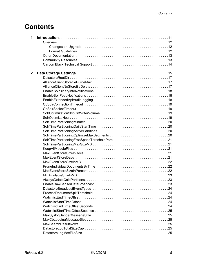# **Contents**

| 1            |                                              |
|--------------|----------------------------------------------|
|              |                                              |
|              |                                              |
|              |                                              |
|              |                                              |
|              |                                              |
|              |                                              |
|              |                                              |
| $\mathbf{2}$ |                                              |
|              |                                              |
|              |                                              |
|              |                                              |
|              |                                              |
|              |                                              |
|              |                                              |
|              |                                              |
|              |                                              |
|              |                                              |
|              |                                              |
|              |                                              |
|              |                                              |
|              |                                              |
|              | SolrTimePartitioningOptimizeMaxSegments20    |
|              | SolrTimePartitioningFreeSpaceThresholdPerc21 |
|              |                                              |
|              |                                              |
|              |                                              |
|              |                                              |
|              |                                              |
|              |                                              |
|              |                                              |
|              |                                              |
|              |                                              |
|              |                                              |
|              |                                              |
|              |                                              |
|              |                                              |
|              |                                              |
|              |                                              |
|              |                                              |
|              |                                              |
|              |                                              |
|              |                                              |
|              |                                              |
|              |                                              |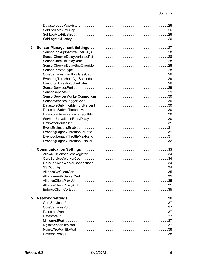| 3 |  |
|---|--|
|   |  |
|   |  |
|   |  |
|   |  |
|   |  |
|   |  |
|   |  |
|   |  |
|   |  |
|   |  |
|   |  |
|   |  |
|   |  |
|   |  |
|   |  |
|   |  |
|   |  |
|   |  |
|   |  |
|   |  |
|   |  |
|   |  |
|   |  |
| 4 |  |
|   |  |
|   |  |
|   |  |
|   |  |
|   |  |
|   |  |
|   |  |
|   |  |
|   |  |
|   |  |
| 5 |  |
|   |  |
|   |  |
|   |  |
|   |  |
|   |  |
|   |  |
|   |  |
|   |  |
|   |  |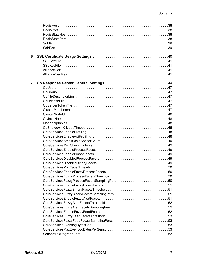| 6              |                                               |  |
|----------------|-----------------------------------------------|--|
|                |                                               |  |
|                |                                               |  |
|                |                                               |  |
|                |                                               |  |
| $\overline{7}$ |                                               |  |
|                |                                               |  |
|                |                                               |  |
|                |                                               |  |
|                |                                               |  |
|                |                                               |  |
|                |                                               |  |
|                |                                               |  |
|                |                                               |  |
|                |                                               |  |
|                |                                               |  |
|                |                                               |  |
|                |                                               |  |
|                |                                               |  |
|                |                                               |  |
|                |                                               |  |
|                |                                               |  |
|                |                                               |  |
|                |                                               |  |
|                |                                               |  |
|                |                                               |  |
|                |                                               |  |
|                | CoreServicesFuzzyProcessFacetsThreshold 50    |  |
|                | CoreServicesFuzzyProcessFacetsSamplingPerc 50 |  |
|                |                                               |  |
|                |                                               |  |
|                | CoreServicesFuzzyBinaryFacetsSamplingPerc51   |  |
|                |                                               |  |
|                |                                               |  |
|                |                                               |  |
|                |                                               |  |
|                |                                               |  |
|                |                                               |  |
|                |                                               |  |
|                |                                               |  |
|                |                                               |  |
|                |                                               |  |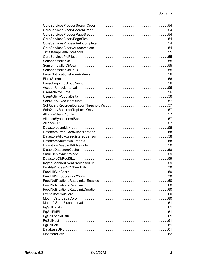| FeedHitMinScore <xxxxx></xxxxx> | 59 |
|---------------------------------|----|
|                                 |    |
|                                 |    |
|                                 |    |
|                                 |    |
|                                 |    |
|                                 |    |
|                                 |    |
|                                 |    |
|                                 |    |
|                                 |    |
|                                 |    |
|                                 |    |
|                                 |    |
|                                 |    |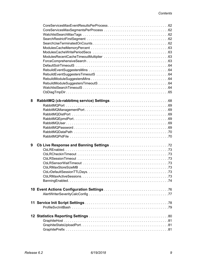| 8 |  |
|---|--|
|   |  |
|   |  |
|   |  |
|   |  |
|   |  |
|   |  |
|   |  |
|   |  |
|   |  |
| 9 |  |
|   |  |
|   |  |
|   |  |
|   |  |
|   |  |
|   |  |
|   |  |
|   |  |
|   |  |
|   |  |
|   |  |
|   |  |
|   |  |
|   |  |
|   |  |
|   |  |
|   |  |
|   |  |
|   |  |
|   |  |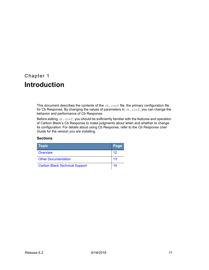# <span id="page-10-0"></span>Chapter 1 **Introduction**

This document describes the contents of the  $cb$ . confinities, the primary configuration file for Cb Response. By changing the values of parameters in cb.conf, you can change the behavior and performance of Cb Response.

Before editing cb.conf, you should be sufficiently familiar with the features and operation of Carbon Black's Cb Response to make judgments about when and whether to change its configuration. For details about using Cb Response, refer to the *Cb Response User Guide* for the version you are installing.

#### **Sections**

| <b>Topic</b>                          | Page |
|---------------------------------------|------|
| Overview                              | 12   |
| <b>Other Documentation</b>            | 13   |
| <b>Carbon Black Technical Support</b> | 14   |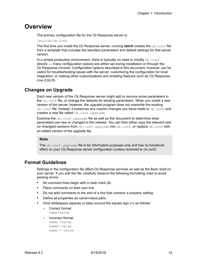#### <span id="page-11-0"></span>**Overview**

The primary configuration file for the Cb Response server is:

/etc/cb/cb.conf

The first time you install the Cb Response server, running **cbinit** creates the cb.conf file from a template that includes the standard parameters and default settings for that server version.

In a simple production environment, there is typically no need to modify  $cb$ .conf directly — many configuration options are either set during installation or through the Cb Response console. Configuration options described in this document, however, can be useful for troubleshooting issues with the server, customizing the configuration for local integration, or making other customizations and enabling features such as Cb Response Live (CbLR).

#### <span id="page-11-1"></span>**Changes on Upgrade**

Each new version of the Cb Response server might add or remove some parameters in the cb.conf file, or change the defaults for existing parameters. When you install a new version of the server, however, the upgrade program does not overwrite the existing cb.conf file. Instead, it preserves any custom changes you have made to cb.conf and creates a new file called cb.conf.upgrade.

Examine the  $cb$ .  $conf$ . upgrade file as well as this document to determine what parameters are new or changed in this release. You can then either copy the relevant new (or changed) sections from cb.conf.upgrade into cb.conf, or replace cb.conf with an edited version of the upgrade file.

#### **Note**

The cb.conf.upgrade file is for information purposes only and has no functional effect on your Cb Response server configuration (unless renamed to cb.conf).

#### <span id="page-11-2"></span>**Format Guidelines**

Settings in the configuration file affect Cb Response services as well as the Bash shell on your server. If you edit the file, carefully observe the following formatting rules to avoid parsing errors:

- **•** All comment lines begin with a hash mark (#).
- **•** Place comments on their own line.
- **•** Do not add comments to the end of a line that contains a property setting.
- **•** Define all properties as name=value pairs.
- **•** Omit whitespace (spaces or tabs) around the equals sign (=) as follows:
	- **-** Correct format: name=value
	- **-** Incorrect format:
		- name =value name= value name = value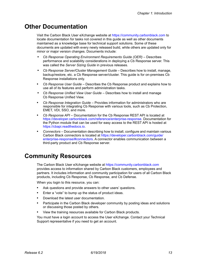### <span id="page-12-0"></span>**Other Documentation**

Visit the Carbon Black User eXchange website at<https://community.carbonblack.com> to locate documentation for tasks not covered in this guide as well as other documents maintained as a knowledge base for technical support solutions. Some of these documents are updated with every newly released build, while others are updated only for minor or major version changes. Documents include:

- **•** *Cb Response Operating Environment Requirements Guide (OER)* Describes performance and scalability considerations in deploying a Cb Response server. This was called the *Server Sizing Guide* in previous releases.
- **•** *Cb Response Server/Cluster Management Guide* Describes how to install, manage, backup/restore, etc. a Cb Response server/cluster. This guide is for on-premises Cb Response installations only.
- **•** *Cb Response User Guide* Describes the Cb Response product and explains how to use all of its features and perform administration tasks.
- **•** *Cb Response Unified View User Guide* Describes how to install and manage Cb Response Unified View.
- **•** *Cb Response Integration Guide* Provides information for administrators who are responsible for integrating Cb Response with various tools, such as Cb Protection, EMET, VDI, SSO, and more.
- **•** *Cb Response API* Documentation for the Cb Response REST API is located at <https://developer.carbonblack.com/reference/enterprise-response>[. Documentation for](https://cbapi.readthedocs.io)  [the Python module that can be used for easy access to the REST API is hosted at](https://cbapi.readthedocs.io)  [h](https://cbapi.readthedocs.io)ttps://cbapi.readthedocs.io.
- **•** *Connectors* Documentation describing how to install, configure and maintain various Carbon Black connectors is located at [https://developer.carbonblack.com/guide/](https://developer.carbonblack.com/guide/enterprise-response/#connectors) [enterprise-response/#connectors](https://developer.carbonblack.com/guide/enterprise-response/#connectors). A connector enables communication between a third-party product and Cb Response server.

### <span id="page-12-1"></span>**Community Resources**

The Carbon Black User eXchange website at<https://community.carbonblack.com> provides access to information shared by Carbon Black customers, employees and partners. It includes information and community participation for users of all Carbon Black products, including Cb Response, Cb Response, and Cb Defense.

When you login to this resource, you can:

- **•** Ask questions and provide answers to other users' questions.
- **•** Enter a "vote" to bump up the status of product ideas.
- **•** Download the latest user documentation.
- **•** Participate in the Carbon Black developer community by posting ideas and solutions or discussing those posted by others.
- **•** View the training resources available for Carbon Black products.

You must have a login account to access the User eXchange. Contact your Technical Support representative if you need to get an account.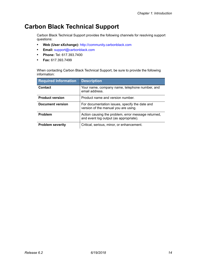### <span id="page-13-1"></span><span id="page-13-0"></span>**Carbon Black Technical Support**

Carbon Black Technical Support provides the following channels for resolving support questions:

- **• Web (User eXchange):** <http://community.carbonblack.com>
- **• Email:** <support@carbonblack.com>
- **• Phone:** Tel: 617.393.7400
- **• Fax:** 617.393.7499

When contacting Carbon Black Technical Support, be sure to provide the following information:

| <b>Required Information</b> | <b>Description</b>                                                                            |
|-----------------------------|-----------------------------------------------------------------------------------------------|
| Contact                     | Your name, company name, telephone number, and<br>email address.                              |
| <b>Product version</b>      | Product name and version number.                                                              |
| Document version            | For documentation issues, specify the date and<br>version of the manual you are using.        |
| <b>Problem</b>              | Action causing the problem, error message returned,<br>and event log output (as appropriate). |
| <b>Problem severity</b>     | Critical, serious, minor, or enhancement.                                                     |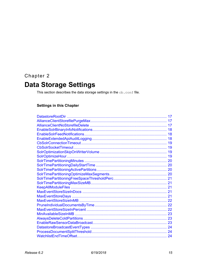#### Chapter 2

# <span id="page-14-0"></span>**Data Storage Settings**

This section describes the data storage settings in the cb.conf file.

#### **Settings in this Chapter**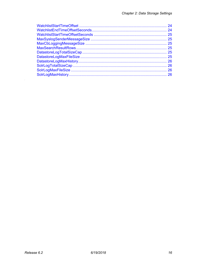$\epsilon$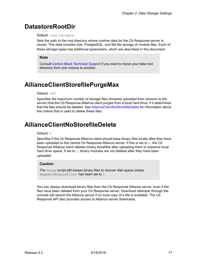### <span id="page-16-0"></span>**DatastoreRootDir**

#### Default: /var/cb/data

Sets the path to the root directory where runtime data for the Cb Response server is stored. This data includes Solr, PostgreSQL, and flat-file storage of module files. Each of these storage types has additional parameters, which are described in this document.

#### **Note**

Consult [Carbon Black Technical Support](#page-13-1) if you want to move your data root directory from one volume to another.

### <span id="page-16-1"></span>**AllianceClientStorefilePurgeMax**

#### Default: 100

Specifies the maximum number of storage files (binaries uploaded from sensors to the server) that the Cb Response Alliance client purges from a local hard drive, if it determines that the files should be deleted. See [AllianceClientNoStorefileDelete](#page-16-2) for information about the criteria that is used to delete these files.

### <span id="page-16-2"></span>**AllianceClientNoStorefileDelete**

#### Default: 0

Specifies if the Cb Response Alliance client should keep binary files locally after they have been uploaded to the central Cb Response Alliance server. If this is set to 0, the Cb Response Alliance client deletes binary storefiles after uploading them to preserve local hard drive space. If set to 1, binary modules are not deleted after they have been uploaded.

#### **Caution**

The *Purge* script still erases binary files to recover disk space unless *KeepAllModuleFiles* has been set to 1.

You can always download binary files from the Cb Response Alliance server, even if the files have been deleted from your Cb Response server. Download attempts through the console will search the Alliance server if no local copy of a file is available. The Cb Response API also provides access to Alliance server downloads.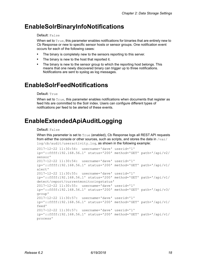#### <span id="page-17-0"></span>**EnableSolrBinaryInfoNotifications**

#### Default: False

When set to  $True$ , this parameter enables notifications for binaries that are entirely new to Cb Response or new to specific sensor hosts or sensor groups. One notification event occurs for each of the following cases:

- **•** The binary is completely new to the sensors reporting to this server.
- **•** The binary is new to the host that reported it.
- **•** The binary is new to the sensor group to which the reporting host belongs. This means that one newly discovered binary can trigger up to three notifications. Notifications are sent to syslog as log messages.

#### <span id="page-17-1"></span>**EnableSolrFeedNotifications**

#### Default: True

When set to  $True$ , this parameter enables notifications when documents that register as feed hits are committed to the Solr index. Users can configure different types of notifications per feed to be alerted of these events.

### <span id="page-17-2"></span>**EnableExtendedApiAuditLogging**

#### Default: False

When this parameter is set to True (enabled), Cb Response logs all REST API requests from either the console or other sources, such as scripts, and stores the data in  $/\text{var}/$ log/cb/audit/useractivity.log, as shown in the following example:

```
2017-12-22 11:30:54: username='dave' userid='1' 
ip='::ffff:192.168.56.1' status='200' method='GET' path='/api/v2/
sensor'
2017-12-22 11:30:54: username='dave' userid='1' 
ip='::ffff:192.168.56.1' status='200' method='GET' path='/api/v1/
alert'
2017-12-22 11:30:55: username='dave' userid='1' 
ip='::ffff:192.168.56.1' status='200' method='GET' path='/api/v1/
detect/report/currentmonitoringstatus'
2017-12-22 11:30:55: username='dave' userid='1' 
ip='::ffff:192.168.56.1' status='200' method='GET' path='/api/v3/
group'
2017-12-22 11:30:57: username='dave' userid='1' 
ip='::ffff:192.168.56.1' status='200' method='GET' path='/api/v1/
feed'
2017-12-22 11:30:57: username='dave' userid='1' 
ip='::ffff:192.168.56.1' status='200' method='GET' path='/api/v1/
process'
```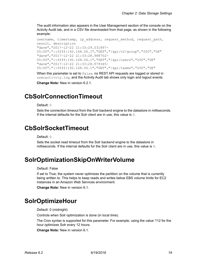The audit information also appears in the User Management section of the console on the Activity Audit tab, and in a CSV file downloaded from that page, as shown in the following example:

```
username, timestamp, ip address, request method, request path,
result, description
"dave","2017-12-22 21:33:29.031897-
05:00","::ffff:192.168.56.1","GET","/api/v2/group","200","OK"
"dave","2017-12-22 21:33:28.988702-
05:00","::ffff:192.168.56.1","GET","/api/users","200","OK"
"dave","2017-12-22 21:33:28.979345-
05:00","::ffff:192.168.56.1","GET","/api/teams","200","OK"
```
When this parameter is set to False, no REST API requests are logged or stored in useractivity.log, and the Activity Audit tab shows only login and logout events. **Change Note:** New in version 6.2.1.

### <span id="page-18-0"></span>**CbSolrConnectionTimeout**

#### Default: 0

Sets the connection timeout from the Solr backend engine to the datastore in milliseconds. If the internal defaults for the Solr client are in use, this value is 0.

#### <span id="page-18-1"></span>**CbSolrSocketTimeout**

#### Default: 0

Sets the socket read timeout from the Solr backend engine to the datastore in milliseconds. If the internal defaults for the Solr client are in use, this value is 0.

#### <span id="page-18-2"></span>**SolrOptimizationSkipOnWriterVolume**

#### Default: False

If set to True, the system never optimizes the partition on the volume that is currently being written to. This helps to keep reads and writes below EBS volume limits for EC2 instances in an Amazon Web Services environment.

**Change Note:** New in version 6.1.

#### <span id="page-18-3"></span>**SolrOptimizeHour**

#### Default: 0 (midnight)

Controls when Solr optimization is done (in local time).

The Cron syntax is supported for this parameter. For example, using the value \*/12 for the hour optimizes Solr every 12 hours.

**Change Note:** New in version 6.1.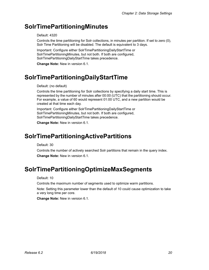### <span id="page-19-0"></span>**SolrTimePartitioningMinutes**

#### Default: 4320

Controls the time partitioning for Solr collections, in minutes per partition. If set to zero (0), Solr Time Partitioning will be disabled. The default is equivalent to 3 days.

Important: Configure either SolrTimePartitioningDailyStartTime or SolrTimePartitioningMinutes, but not both. If both are configured, SolrTimePartitioningDailyStartTime takes precedence.

**Change Note:** New in version 6.1.

### <span id="page-19-1"></span>**SolrTimePartitioningDailyStartTime**

#### Default: (no default)

Controls the time partitioning for Solr collections by specifying a daily start time. This is represented by the number of minutes after 00:00 (UTC) that the partitioning should occur. For example, a value of 60 would represent 01:00 UTC, and a new partition would be created at that time each day.

Important: Configure either SolrTimePartitioningDailyStartTime or SolrTimePartitioningMinutes, but not both. If both are configured, SolrTimePartitioningDailyStartTime takes precedence.

**Change Note:** New in version 6.1.

### <span id="page-19-2"></span>**SolrTimePartitioningActivePartitions**

Default: 30

Controls the number of actively searched Solr partitions that remain in the query index. **Change Note:** New in version 6.1.

### <span id="page-19-3"></span>**SolrTimePartitioningOptimizeMaxSegments**

#### Default: 10

Controls the maximum number of segments used to optimize warm partitions.

Note: Setting this parameter lower than the default of 10 could cause optimization to take a very long time per core.

**Change Note:** New in version 6.1.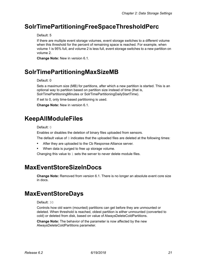### <span id="page-20-0"></span>**SolrTimePartitioningFreeSpaceThresholdPerc**

#### Default: 5

If there are multiple event storage volumes, event storage switches to a different volume when this threshold for the percent of remaining space is reached. For example, when volume 1 is 95% full, and volume 2 is less full, event storage switches to a new partition on volume 2.

**Change Note:** New in version 6.1.

### <span id="page-20-1"></span>**SolrTimePartitioningMaxSizeMB**

#### Default: 0

Sets a maximum size (MB) for partitions, after which a new partition is started. This is an optional way to partition based on partition size instead of time (that is, SolrTimePartitioningMinutes or SolrTimePartitioningDailyStartTime).

If set to 0, only time-based partitioning is used.

**Change Note:** New in version 6.1.

### <span id="page-20-2"></span>**KeepAllModuleFiles**

#### Default: 0

Enables or disables the deletion of binary files uploaded from sensors.

The default value of  $\theta$  indicates that the uploaded files are deleted at the following times:

- **•** After they are uploaded to the Cb Response Alliance server.
- **•** When data is purged to free up storage volume.

Changing this value to  $1$  sets the server to never delete module files.

### <span id="page-20-3"></span>**MaxEventStoreSizeInDocs**

**Change Note:** Removed from version 6.1. There is no longer an absolute event core size in docs.

### <span id="page-20-4"></span>**MaxEventStoreDays**

#### Default: 30

Controls how old warm (mounted) partitions can get before they are unmounted or deleted. When threshold is reached, oldest partition is either unmounted (converted to cold) or deleted from disk, based on value of AlwaysDeleteColdPartitions.

**Change Note:** The behavior of the parameter is now affected by the new AlwaysDeleteColdPartitions parameter.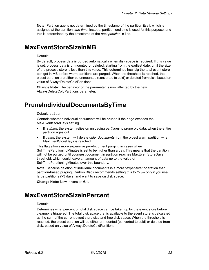**Note:** Partition age is not determined by the timestamp of the partition itself, which is assigned at the partition *start time*. Instead, partition end time is used for this purpose, and this is determined by the timestamp of the *next partition* in line.

### <span id="page-21-0"></span>**MaxEventStoreSizeInMB**

#### Default: 0

By default, process data is purged automatically when disk space is required. If this value is set, process data is unmounted or deleted, starting from the earliest date, until the size of the process store is less than this value. This determines how big the total event store can get in MB before warm partitions are purged. When the threshold is reached, the oldest partition are either be unmounted (converted to cold) or deleted from disk, based on value of AlwaysDeleteColdPartitions.

**Change Note:** The behavior of the parameter is now affected by the new AlwaysDeleteColdPartitions parameter.

### <span id="page-21-1"></span>**PruneIndividualDocumentsByTime**

#### Default: False

Controls whether individual documents will be pruned if their age exceeds the MaxEventStoreDays setting.

- **•** If False, the system relies on unloading *partitions* to prune old data, when the entire partition ages out.
- **•** If True, the system will delete *older documents* from the oldest warm partition when MaxEventStoreDays is reached.

This flag allows more expensive per-document purging in cases when SolrTimePartitioningMinutes is set to be higher than a day. This means that the partition will not be purged until youngest document in partition reaches MaxEventStoreDays threshold, which could leave an amount of data up to the value of SolrTimePartitioningMinutes over this boundary.

**Note:** Because deletion of individual documents is a more "expensive" operation than partition-based purging, Carbon Black recommends setting this to True only if you use large partitions (>3 days) and want to save on disk space.

**Change Note:** New in version 6.1.

### <span id="page-21-2"></span>**MaxEventStoreSizeInPercent**

#### Default: 90

Determines what percent of total disk space can be taken up by the event store before cleanup is triggered. The total disk space that is available to the event store is calculated as the sum of the current event store size and free disk space. When the threshold is reached, the oldest partition will be either unmounted (converted to cold) or deleted from disk, based on value of AlwaysDeleteColdPartitions.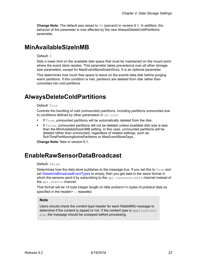**Change Note:** The default was raised to 90 (percent) in version 6.1. In addition, the behavior of the parameter is now affected by the new AlwaysDeleteColdPartitions parameter.

### <span id="page-22-0"></span>**MinAvailableSizeInMB**

#### Default: 0

Sets a lower limit on the available disk space that must be maintained on the mount point where the event store resides. This parameter takes precedence over all other storagesize parameters, except for MaxEventStoreSizeInDocs. It is an optional parameter.

This determines how much free space to leave on the events data disk before purging warm partitions. If this condition is met, partitions are deleted from disk rather than converted into cold partitions

### <span id="page-22-1"></span>**AlwaysDeleteColdPartitions**

#### Default: True

Controls the handling of cold (unmounted) partitions, including partitions unmounted due to conditions defined by other parameters in cb.conf.

- **•** If True, unmounted partitions will be automatically deleted from the disk.
- **•** If False, unmounted partitions will not be deleted unless available disk size is less than the MinAvailableSizeInMB setting. In this case, unmounted partitions will be deleted rather than unmounted, regardless of related settings, such as SolrTimePartitioningActivePartitions or MaxEventStoreDays..

**Change Note:** New in version 6.1.

#### <span id="page-22-2"></span>**EnableRawSensorDataBroadcast**

#### Default: False

Determines how the data store publishes to the message bus. If you set this to  $True$  and set [DatastoreBroadcastEventTypes](#page-23-0) to empty, then you get data in the same format in which the sensors send it by subscribing to the api.rawsensordata channel instead of the api.events channel.

That format will be <4 byte integer length (in little endian)><n bytes of protobuf data as specified in the header> ... repeated.

#### **Note**

Users should check the content type header for each RabbitMQ message to determine if the content is zipped or not. If the content type is application/ zip, the message should be unzipped before processing.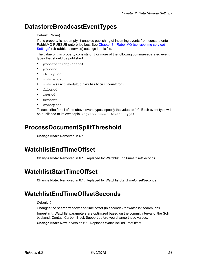### <span id="page-23-0"></span>**DatastoreBroadcastEventTypes**

#### Default: (None)

If this property is not empty, it enables publishing of incoming events from sensors onto RabbitMQ PUBSUB enterprise bus. See [Chapter 8, "RabbitMQ \(cb-rabbitmq service\)](#page-67-1)  [Settings"](#page-67-1) (cb-rabbitmq service) settings in this file.

The value of this property consists of  $1$  or more of the following comma-separated event types that should be published:

- **•** procstart (or process)
- **•** procend
- **•** childproc
- **•** moduleload
- module (a new module/binary has been encountered)
- **•** filemod
- **•** regmod
- **•** netconn
- **•** crossproc

To subscribe for all of the above event types, specify the value as "\*". Each event type will be published to its own topic: ingress.event.<event type>

### <span id="page-23-1"></span>**ProcessDocumentSplitThreshold**

**Change Note:** Removed in 6.1.

### <span id="page-23-2"></span>**WatchlistEndTimeOffset**

**Change Note:** Removed in 6.1. Replaced by WatchlistEndTimeOffsetSeconds

### <span id="page-23-3"></span>**WatchlistStartTimeOffset**

**Change Note:** Removed in 6.1. Replaced by WatchlistStartTimeOffsetSeconds.

### <span id="page-23-4"></span>**WatchlistEndTimeOffsetSeconds**

Default: 0

Changes the search window end-time offset (in seconds) for watchlist search jobs.

**Important:** Watchlist parameters are optimized based on the commit interval of the Solr backend. Contact Carbon Black Support before you change these values.

**Change Note:** New in version 6.1. Replaces WatchlistEndTimeOffset.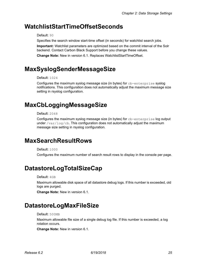### <span id="page-24-0"></span>**WatchlistStartTimeOffsetSeconds**

#### Default: 90

Specifies the search window start-time offset (in seconds) for watchlist search jobs.

**Important:** Watchlist parameters are optimized based on the commit interval of the Solr backend. Contact Carbon Black Support before you change these values.

**Change Note:** New in version 6.1. Replaces WatchlistStartTimeOffset.

### <span id="page-24-1"></span>**MaxSyslogSenderMessageSize**

#### Default: 1024

Configures the maximum syslog message size (in bytes) for cb-enterprise syslog notifications. This configuration does not automatically adjust the maximum message size setting in rsyslog configuration.

### <span id="page-24-2"></span>**MaxCbLoggingMessageSize**

#### Default: 2048

Configures the maximum syslog message size (in bytes) for cb-enterprise log output under  $\sqrt{\tan 1}$  and  $\cot 2$  in  $\sin 2\theta$  configuration does not automatically adjust the maximum message size setting in rsyslog configuration.

### <span id="page-24-3"></span>**MaxSearchResultRows**

#### Default: 1000

Configures the maximum number of search result rows to display in the console per page.

### <span id="page-24-4"></span>**DatastoreLogTotalSizeCap**

#### Default: 4GB

Maximum allowable disk space of all datastore debug logs. If this number is exceeded, old logs are purged.

**Change Note:** New in version 6.1.

### <span id="page-24-5"></span>**DatastoreLogMaxFileSize**

#### Default: 500MB

Maximum allowable file size of a single debug log file. If this number is exceeded, a log rotation occurs.

**Change Note:** New in version 6.1.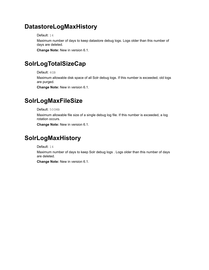### <span id="page-25-0"></span>**DatastoreLogMaxHistory**

Default: 14

Maximum number of days to keep datastore debug logs. Logs older than this number of days are deleted.

**Change Note:** New in version 6.1.

### <span id="page-25-1"></span>**SolrLogTotalSizeCap**

Default: 4GB

Maximum allowable disk space of all Solr debug logs. If this number is exceeded, old logs are purged.

**Change Note:** New in version 6.1.

### <span id="page-25-2"></span>**SolrLogMaxFileSize**

Default: 500MB

Maximum allowable file size of a single debug log file. If this number is exceeded, a log rotation occurs.

**Change Note:** New in version 6.1.

### <span id="page-25-3"></span>**SolrLogMaxHistory**

Default: 14

Maximum number of days to keep Solr debug logs . Logs older than this number of days are deleted.

**Change Note:** New in version 6.1.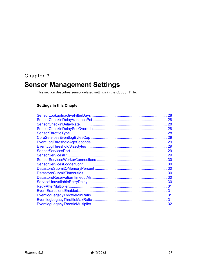#### Chapter 3

# <span id="page-26-0"></span>**Sensor Management Settings**

This section describes sensor-related settings in the cb.conf file.

#### **Settings in this Chapter**

| 31<br>32 | 28 |
|----------|----|
|          |    |
|          |    |
|          |    |
|          |    |
|          |    |
|          |    |
|          |    |
|          |    |
|          |    |
|          |    |
|          |    |
|          |    |
|          |    |
|          |    |
|          |    |
|          |    |
|          |    |
|          |    |
|          |    |
|          |    |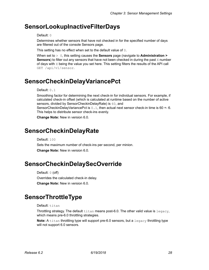### <span id="page-27-0"></span>**SensorLookupInactiveFilterDays**

Default: 0

Determines whether sensors that have not checked in for the specified number of days are filtered out of the console Sensors page.

This setting has no effect when set to the default value of 0.

When set to > 0, this setting causes the **Sensors** page (navigate to **Administration > Sensors**) to filter out any sensors that have not been checked in during the past X number of days with  $X$  being the value you set here. This setting filters the results of the API call GET /api/v1/sensor.

### <span id="page-27-1"></span>**SensorCheckinDelayVariancePct**

Default: 0.1

Smoothing factor for determining the next check-in for individual sensors. For example, if calculated check-in offset (which is calculated at runtime based on the number of active sensors, divided by SensorCheckinDelayRate) is 60, and

SensorCheckinDelayVariancePct is  $0.1$ , then actual next sensor check-in time is 60  $+$ -6. This helps to distribute sensor check-ins evenly.

**Change Note:** New in version 6.0.

### <span id="page-27-2"></span>**SensorCheckinDelayRate**

Default: 100

Sets the maximum number of check-ins per second, per minion. **Change Note:** New in version 6.0.

### <span id="page-27-3"></span>**SensorCheckinDelaySecOverride**

Default: 0 (off) Overrides the calculated check-in delay. **Change Note:** New in version 6.0.

### <span id="page-27-4"></span>**SensorThrottleType**

Default: titan

Throttling strategy. The default  $\text{titan}$  means post-6.0. The other valid value is  $\text{legacy}$ , which means pre-6.0 throttling strategies.

**Note:** A titan throttling type will support pre-6.0 sensors, but a legacy throttling type will not support 6.0 sensors.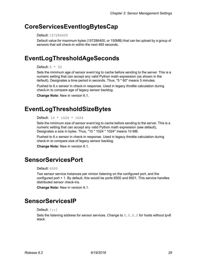### <span id="page-28-0"></span>**CoreServicesEventlogBytesCap**

Default: 157286400

Default value for maximum bytes (157286400, or 150MB) that can be upload by a group of sensors that will check-in within the next 465 seconds.

### <span id="page-28-1"></span>**EventLogThresholdAgeSeconds**

Default:  $5 * 50$ 

Sets the minimum age of sensor event log to cache before sending to the server. This is a numeric setting that can accept any valid Python math expression (as shown in the default). Designates a time period in seconds. Thus, "5 \* 60" means 5 minutes.

Pushed to 6.x sensor in check-in response. Used in legacy throttle calculation during check-in to compare age of legacy sensor backlog.

**Change Note:** New in version 6.1.

### <span id="page-28-2"></span>**EventLogThresholdSizeBytes**

Default: 10 \* 1024 \* 1024

Sets the minimum size of sensor event log to cache before sending to the server. This is a numeric setting that can accept any valid Python math expression (see default), Designates a size in bytes. Thus, "10 \* 1024 \* 1024" means 10 MB.

Pushed to 6.x sensor in check-in response. Used in legacy throttle calculation during check-in to compare size of legacy sensor backlog.

**Change Note:** New in version 6.1.

#### <span id="page-28-3"></span>**SensorServicesPort**

Default: 6500

Two sensor service instances per minion listening on the configured port, and the configured port + 1. By default, this would be ports 6500 and 6501. This service handles distributed sensor check-ins.

**Change Note:** New in version 6.1.

### <span id="page-28-4"></span>**SensorServicesIP**

Default:  $[::]$ 

Sets the listening address for sensor services. Change to 0.0.0.0 for hosts without ipv6 stack.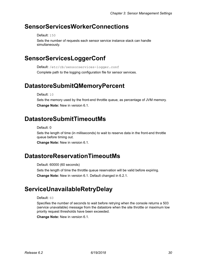### <span id="page-29-0"></span>**SensorServicesWorkerConnections**

Default: 150

Sets the number of requests each sensor service instance stack can handle simultaneously.

### <span id="page-29-1"></span>**SensorServicesLoggerConf**

Default: /etc/cb/sensorservices-logger.conf

Complete path to the logging configuration file for sensor services.

### <span id="page-29-2"></span>**DatastoreSubmitQMemoryPercent**

Default: 10

Sets the memory used by the front-end throttle queue, as percentage of JVM memory. **Change Note:** New in version 6.1.

### <span id="page-29-3"></span>**DatastoreSubmitTimeoutMs**

Default: 0

Sets the length of time (in milliseconds) to wait to reserve data in the front-end throttle queue before timing out.

**Change Note:** New in version 6.1.

### <span id="page-29-4"></span>**DatastoreReservationTimeoutMs**

Default: 60000 (60 seconds)

Sets the length of time the throttle queue reservation will be valid before expiring.

**Change Note:** New in version 6.1. Default changed in 6.2.1.

### <span id="page-29-5"></span>**ServiceUnavailableRetryDelay**

Default: 60

Specifies the number of seconds to wait before retrying when the console returns a 503 (service unavailable) message from the datastore when the site throttle or maximum low priority request thresholds have been exceeded.

**Change Note:** New in version 6.1.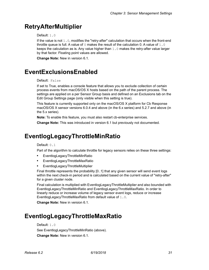### <span id="page-30-0"></span>**RetryAfterMultiplier**

Default: 1.0

If the value is not 1.0, modifies the "retry-after" calculation that occurs when the front-end throttle queue is full. A value of  $0$  makes the result of the calculation 0. A value of 1.0 keeps the calculation as is. Any value higher than  $1.0$  makes the retry-after value larger by that factor. Floating point values are allowed.

**Change Note:** New in version 6.1.

### <span id="page-30-1"></span>**EventExclusionsEnabled**

#### Default: False

If set to True, enables a console feature that allows you to exclude collection of certain process events from macOS/OS X hosts based on the path of the parent process. The settings are applied on a per Sensor Group basis and defined on an Exclusions tab on the Edit Group Settings page (only visible when this setting is true).

This feature is currently supported only on the macOS/OS X platform for Cb Response macOS/OS X sensor versions 6.0.4 and above (in the 6.x series) and 5.2.7 and above (in the 5.x series).

**Note:** To enable this feature, you must also restart cb-enterprise services.

**Change Note:** This was introduced in version 6.1 but previously not documented.

### <span id="page-30-2"></span>**EventlogLegacyThrottleMinRatio**

Default: 0.1

Part of the algorithm to calculate throttle for legacy sensors relies on these three settings:

- **•** EventlogLegacyThrottleMinRatio
- **•** EventlogLegacyThrottleMaxRatio
- **•** EventlogLegacyThrottleMultiplier

Final throttle represents the probability [0..1] that any given sensor will send event logs within the next check-in period and is calculated based on the current value of "retry-after" for a given cluster node.

Final calculation is multiplied with EventlogLegacyThrottleMultiplier and also bounded with EventlogLegacyThrottleMinRatio and EventlogLegacyThrottleMaxRatio. In order to linearly reduce or increase volume of legacy sensor event logs, reduce or increase EventlogLegacyThrottleMaxRatio from default value of 1.0.

**Change Note:** New in version 6.1.

### <span id="page-30-3"></span>**EventlogLegacyThrottleMaxRatio**

Default: 1.0 See EventlogLegacyThrottleMinRatio (above). **Change Note:** New in version 6.1.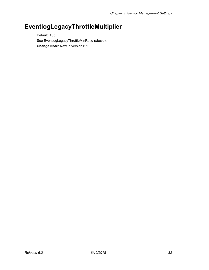## <span id="page-31-0"></span>**EventlogLegacyThrottleMultiplier**

Default: 1.0 See EventlogLegacyThrottleMinRatio (above). **Change Note:** New in version 6.1.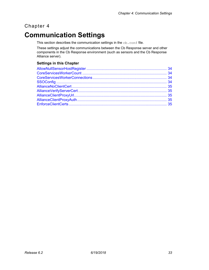# <span id="page-32-0"></span>Chapter 4 **Communication Settings**

This section describes the communication settings in the cb.conf file.

These settings adjust the communications between the Cb Response server and other components in the Cb Response environment (such as sensors and the Cb Response Alliance server).

#### **Settings in this Chapter**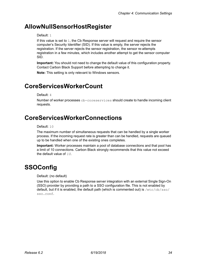### <span id="page-33-0"></span>**AllowNullSensorHostRegister**

Default: 1

If this value is set to 1, the Cb Response server will request and require the sensor computer's Security Identifier (SID). If this value is empty, the server rejects the registration. If the server rejects the sensor registration, the sensor re-attempts registration in a few minutes, which includes another attempt to get the sensor computer SID.

**Important:** You should not need to change the default value of this configuration property. Contact Carbon Black Support before attempting to change it.

**Note:** This setting is only relevant to Windows sensors.

### <span id="page-33-1"></span>**CoreServicesWorkerCount**

Default: 4

Number of worker processes cb-coreservices should create to handle incoming client requests.

### <span id="page-33-2"></span>**CoreServicesWorkerConnections**

#### Default: 10

The maximum number of simultaneous requests that can be handled by a single worker process. If the incoming request rate is greater than can be handled, requests are queued up to be handled when one of the existing ones completes.

**Important:** Worker processes maintain a pool of database connections and that pool has a limit of 10 connections. Carbon Black strongly recommends that this value not exceed the default value of *10*.

### <span id="page-33-3"></span>**SSOConfig**

Default: (no default)

Use this option to enable Cb Response server integration with an external Single Sign-On (SSO) provider by providing a path to a SSO configuration file. This is not enabled by default, but if it is enabled, the default path (which is commented out) is /etc/cb/sso/ sso.conf.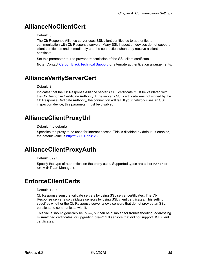### <span id="page-34-0"></span>**AllianceNoClientCert**

#### Default: 0

The Cb Response Alliance server uses SSL client certificates to authenticate communication with Cb Response servers. Many SSL inspection devices do not support client certificates and immediately end the connection when they receive a client certificate.

Set this parameter to  $1$  to prevent transmission of the SSL client certificate.

**Note:** Contact [Carbon Black Technical Support](#page-13-1) for alternate authentication arrangements.

## <span id="page-34-1"></span>**AllianceVerifyServerCert**

#### Default: 1

Indicates that the Cb Response Alliance server's SSL certificate must be validated with the Cb Response Certificate Authority. If the server's SSL certificate was not signed by the Cb Response Certicate Authority, the connection will fail. If your network uses an SSL inspection device, this parameter must be disabled.

### <span id="page-34-2"></span>**AllianceClientProxyUrl**

#### Default: (no default)

Specifies the proxy to be used for internet access. This is disabled by default. If enabled, the default value is http://127.0.0.1:3128.

### <span id="page-34-3"></span>**AllianceClientProxyAuth**

#### Default: basic

Specify the type of authentication the proxy uses. Supported types are either basic or ntlm (NT Lan Manager).

### <span id="page-34-4"></span>**EnforceClientCerts**

#### Default: True

Cb Response sensors validate servers by using SSL server certificates. The Cb Response server also validates sensors by using SSL client certificates. This setting specifies whether the Cb Response server allows sensors that do not provide an SSL certificate to communicate with it.

This value should generally be  $True$ , but can be disabled for troubleshooting, addressing mismatched certificates, or upgrading pre-v3.1.0 sensors that did not support SSL client certificates.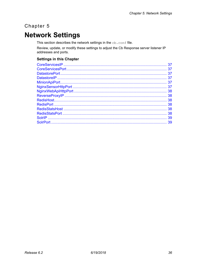#### Chapter 5

# <span id="page-35-0"></span>**Network Settings**

This section describes the network settings in the cb.conf file.

Review, update, or modify these settings to adjust the Cb Response server listener IP addresses and ports.

#### **Settings in this Chapter**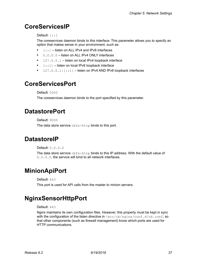### **CoreServicesIP**

Default:  $[::]$ 

The coreservices daemon binds to this interface. This parameter allows you to specify an option that makes sense in your environment, such as:

- $[::]-$  listen on ALL IPv4 and IPv6 interfaces
- **•** 0.0.0.0 listen on ALL IPv4 ONLY interfaces
- **•** 127.0.0.1 listen on local IPv4 loopback interface
- **•** [::1] listen on local IPv6 loopback interface
- **•** 127.0.0.1|[::1] listen on IPv4 AND IPv6 loopback interfaces

# **CoreServicesPort**

Default: 5000

The coreservices daemon binds to the port specified by this parameter.

# **DatastorePort**

Default: 9000

The data store service cbfs-http binds to this port.

### **DatastoreIP**

Default: 0.0.0.0

The data store service  $cbfs-http$  binds to this IP address. With the default value of 0.0.0.0, the service will bind to all network interfaces.

# **MinionApiPort**

Default: 443

This port is used for API calls from the master to minion servers.

# <span id="page-36-0"></span>**NginxSensorHttpPort**

Default: 443

Nginx maintains its own configuration files. However, this property must be kept in sync with the configuration of the listen directive in  $/etc/cb/nginx/conf.d/cb.config$ , so that other components (such as firewall management) know which ports are used for HTTP communications.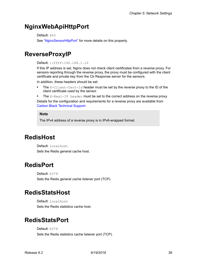# **NginxWebApiHttpPort**

Default: 443

See ["NginxSensorHttpPort"](#page-36-0) for more details on this property.

# **ReverseProxyIP**

Default: ::ffff:192.168.1.10

If this IP address is set, Nginx does not check client certificates from a reverse proxy. For sensors reporting through the reverse proxy, the proxy must be configured with the client certificate and private key from the Cb Response server for the sensors.

In addition, these headers should be set:

- **•** The X-Client-Cert-Id header must be set by the reverse proxy to the ID of the client certificate used by the sensor.
- The X-Real-IP header must be set to the correct address on the reverse proxy.

Details for the configuration and requirements for a reverse proxy are available from [Carbon Black Technical Support](#page-13-0).

#### **Note**

The IPv4 address of a reverse proxy is in IPv6-wrapped format.

# **RedisHost**

Default: localhost Sets the Redis general cache host.

# **RedisPort**

Default: 6379 Sets the Redis general cache listener port (TCP).

### **RedisStatsHost**

Default: localhost Sets the Redis statistics cache host.

# **RedisStatsPort**

Default: 6379 Sets the Redis statistics cache listener port (TCP).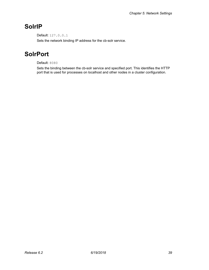# **SolrIP**

Default: 127.0.0.1

Sets the network binding IP address for the cb-solr service.

# **SolrPort**

Default: 8080

Sets the binding between the cb-solr service and specified port. This identifies the HTTP port that is used for processes on localhost and other nodes in a cluster configuration.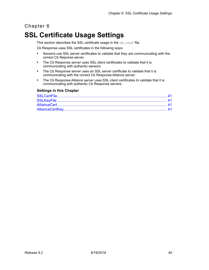# Chapter 6

**SSL Certificate Usage Settings**

This section describes the SSL certificate usage in the cb.conf file.

Cb Response uses SSL certificates in the following ways:

- **•** Sensors use SSL server certificates to validate that they are communicating with the correct Cb Reponse server.
- **•** The Cb Response server uses SSL client certificates to validate that it is communicating with authentic sensors.
- **•** The Cb Response server uses an SSL server certificate to validate that it is communicating with the correct Cb Response Alliance server.
- **•** The Cb Response Alliance server uses SSL client certificates to validate that it is communicating with authentic Cb Response servers.

#### **Settings in this Chapter**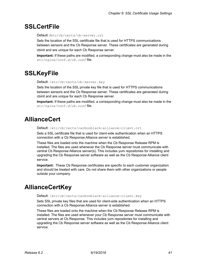### <span id="page-40-0"></span>**SSLCertFile**

Default: /etc/cb/certs/cb-server.crt

Sets the location of the SSL certificate file that is used for HTTPS communications between sensors and the Cb Response server. These certificates are generated during cbinit and are unique for each Cb Response server.

**Important:** If these paths are modified, a corresponding change must also be made in the *etc/nginx/conf.d/cb.conf* file.

# <span id="page-40-1"></span>**SSLKeyFile**

Default: /etc/cb/certs/cb-server.key

Sets the location of the SSL private key file that is used for HTTPS communications between sensors and the Cb Response server. These certificates are generated during cbinit and are unique for each Cb Response server.

**Important:** If these paths are modified, a corresponding change must also be made in the *etc/nginx/conf.d/cb.conf* file.

# <span id="page-40-2"></span>**AllianceCert**

Default: /etc/cb/certs/carbonblack-alliance-client.crt

Sets a SSL certificate file that is used for client-side authentication when an HTTPS connection with a Cb Response Alliance server is established.

These files are loaded onto the machine when the Cb Response Release RPM is installed. The files are used whenever the Cb Response server must communicate with central Cb Response Alliance server(s). This includes yum repositories for installing and upgrading the Cb Response server software as well as the Cb Response Alliance client service.

**Important:** These Cb Response certificates are specific to each customer organization and should be treated with care. Do not share them with other organizations or people outside your company.

# <span id="page-40-3"></span>**AllianceCertKey**

Default: /etc/cb/certs/carbonblack-alliance-client.key

Sets SSL private key files that are used for client-side authentication when an HTTPS connection with a Cb Response Alliance server is established.

These files are loaded onto the machine when the Cb Response Release RPM is installed. The files are used whenever your Cb Response server must communicate with central servers at Cb Response. This includes yum repositories for installing and upgrading the Cb Response server software as well as the Cb Response Alliance client service.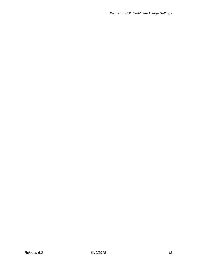*Chapter 6: SSL Certificate Usage Settings*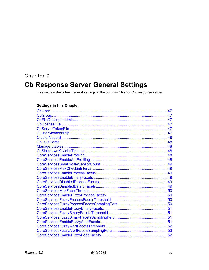#### Chapter 7

# **Cb Response Server General Settings**

This section describes general settings in the cb.conf file for Cb Response server.

#### **Settings in this Chapter**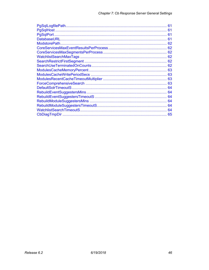| -61 |
|-----|
| 61  |
| 62  |
|     |
|     |
|     |
| 62  |
|     |
|     |
|     |
|     |
|     |
| 64  |
| 64  |
| 64  |
| 64  |
| 64  |
| 64  |
|     |
|     |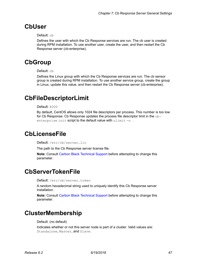# <span id="page-46-0"></span>**CbUser**

Default: cb

Defines the user with which the Cb Response services are run. The cb user is created during RPM installation. To use another user, create the user, and then restart the Cb Response server (cb-enterprise).

# <span id="page-46-1"></span>**CbGroup**

Default: cb

Defines the Linux group with which the Cb Response services are run. The cb sensor group is created during RPM installation. To use another service group, create the group in Linux, update this value, and then restart the Cb Response server (cb-enterprise).

# <span id="page-46-2"></span>**CbFileDescriptorLimit**

Default: 8000

By default, CentOS allows only 1024 file descriptors per process. This number is too low for Cb Response. Cb Response updates the process file descriptor limit in the cbenterprise init script to the default value with  $ulimit -n$ .

# <span id="page-46-3"></span>**CbLicenseFile**

Default: /etc/cb/server.lic

The path to the Cb Response server license file.

**Note:** Consult [Carbon Black Technical Support](#page-13-0) before attempting to change this parameter.

# <span id="page-46-4"></span>**CbServerTokenFile**

Default: /etc/cb/server.token

A random hexadecimal string used to uniquely identify this Cb Response server installation.

**Note:** Consult [Carbon Black Technical Support](#page-13-0) before attempting to change this parameter.

# <span id="page-46-5"></span>**ClusterMembership**

Default: (no default)

Indicates whether or not this server node is part of a cluster. Valid values are: Standalone, Master, and Slave.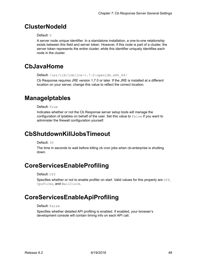### <span id="page-47-0"></span>**ClusterNodeId**

Default: 0

A server node unique identifier. In a standalone installation, a one-to-one relationship exists between this field and server token. However, if this node is part of a cluster, the server token represents the entire cluster, while this identifier uniquely identifies each node in the cluster.

# <span id="page-47-1"></span>**CbJavaHome**

Default: /usr/lib/jvm/jre-1.7.0-openjdk.x86\_64/

Cb Response requires JRE version 1.7.0 or later. If the JRE is installed at a different location on your server, change this value to reflect the correct location.

### <span id="page-47-2"></span>**ManageIptables**

Default: True

Indicates whether or not the Cb Response server setup tools will manage the configuration of iptables on behalf of the user. Set this value to False if you want to administer the firewall configuration yourself.

# <span id="page-47-3"></span>**CbShutdownKillJobsTimeout**

#### Default: 30

The time in seconds to wait before killing cb cron jobs when cb-enterprise is shutting down.

### <span id="page-47-4"></span>**CoreServicesEnableProfiling**

#### Default: Off

Specifies whether or not to enable profiler on start. Valid values for this property are Off, CpuTicks, and WallClock.

# <span id="page-47-5"></span>**CoreServicesEnableApiProfiling**

Default: False

Specifies whether detailed API profiling is enabled. If enabled, your browser's development console will contain timing info on each API call.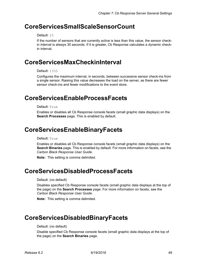#### <span id="page-48-0"></span>**CoreServicesSmallScaleSensorCount**

#### Default: 25

If the number of sensors that are currently active is less than this value, the sensor checkin interval is always 30 seconds. If it is greater, Cb Response calculates a dynamic checkin interval.

#### <span id="page-48-1"></span>**CoreServicesMaxCheckinInterval**

#### Default: 1335

Configures the maximum interval, in seconds, between successive sensor check-ins from a single sensor. Raising this value decreases the load on the server, as there are fewer sensor check-ins and fewer modifications to the event store.

#### <span id="page-48-2"></span>**CoreServicesEnableProcessFacets**

#### Default: True

Enables or disables all Cb Response console facets (small graphic data displays) on the **Search Processes** page. This is enabled by default.

#### <span id="page-48-3"></span>**CoreServicesEnableBinaryFacets**

#### Default: True

Enables or disables all Cb Response console facets (small graphic data displays) on the **Search Binaries** page. This is enabled by default. For more information on facets, see the *Carbon Black Response User Guide*.

**Note:** This setting is comma delimited.

#### <span id="page-48-4"></span>**CoreServicesDisabledProcessFacets**

#### Default: (no default)

Disables specified Cb Response console facets (small graphic data displays at the top of the page) on the **Search Processes** page. For more information on facets, see the *Carbon Black Response User Guide*.

**Note:** This setting is comma delimited.

#### <span id="page-48-5"></span>**CoreServicesDisabledBinaryFacets**

#### Default: (no default)

Disable specified Cb Response console facets (small graphic data displays at the top of the page) on the **Search Binaries** page.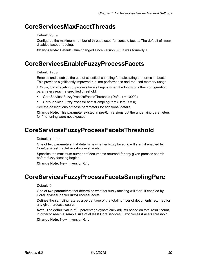### <span id="page-49-0"></span>**CoreServicesMaxFacetThreads**

#### Default: None

Configures the maximum number of threads used for console facets. The default of None disables facet threading.

**Change Note:** Default value changed since version 6.0. It was formerly 1.

### <span id="page-49-1"></span>**CoreServicesEnableFuzzyProcessFacets**

#### Default: True

Enables and disables the use of statistical sampling for calculating the terms in facets. This provides significantly improved runtime performance and reduced memory usage.

If True, fuzzy faceting of process facets begins when the following other configuration parameters reach a specified threshold:

- **•** CoreServicesFuzzyProcessFacetsThreshold (Default = 10000)
- **•** CoreServicesFuzzyProcessFacetsSamplingPerc (Default = 0)

See the descriptions of these parameters for additional details.

**Change Note:** This parameter existed in pre-6.1 versions but the underlying parameters for fine-tuning were not exposed.

### <span id="page-49-2"></span>**CoreServicesFuzzyProcessFacetsThreshold**

#### Default: 10000

One of two parameters that determine whether fuzzy faceting will start, if enabled by CoreServicesEnableFuzzyProcessFacets.

Specifies the maximum number of documents returned for any given process search before fuzzy faceting begins.

**Change Note:** New in version 6.1.

#### <span id="page-49-3"></span>**CoreServicesFuzzyProcessFacetsSamplingPerc**

#### Default: 0

One of two parameters that determine whether fuzzy faceting will start, if enabled by CoreServicesEnableFuzzyProcessFacets.

Defines the sampling rate as a percentage of the total number of documents returned for any given process search.

**Note:** The default value of 0 percentage dynamically adjusts based on total result count, in order to reach a sample size of at least CoreServicesFuzzyProcessFacetsThreshold.

**Change Note:** New in version 6.1.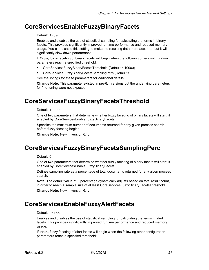# <span id="page-50-0"></span>**CoreServicesEnableFuzzyBinaryFacets**

#### Default: True

Enables and disables the use of statistical sampling for calculating the terms in binary facets. This provides significantly improved runtime performance and reduced memory usage. You can disable this setting to make the resulting data more accurate, but it will significantly slow down performance.

If True, fuzzy faceting of binary facets will begin when the following other configuration parameters reach a specified threshold:

- **•** CoreServicesFuzzyBinaryFacetsThreshold (Default = 10000)
- **•** CoreServicesFuzzyBinaryFacetsSamplingPerc (Default = 0)

See the listings for these parameters for additional details.

**Change Note:** This parameter existed in pre-6.1 versions but the underlying parameters for fine-tuning were not exposed.

# <span id="page-50-1"></span>**CoreServicesFuzzyBinaryFacetsThreshold**

#### Default: 10000

One of two parameters that determine whether fuzzy faceting of binary facets will start, if enabled by CoreServicesEnableFuzzyBinaryFacets.

Specifies the maximum number of documents returned for any given process search before fuzzy faceting begins.

**Change Note:** New in version 6.1.

### <span id="page-50-2"></span>**CoreServicesFuzzyBinaryFacetsSamplingPerc**

#### Default: 0

One of two parameters that determine whether fuzzy faceting of binary facets will start, if enabled by CoreServicesEnableFuzzyBinaryFacets.

Defines sampling rate as a percentage of total documents returned for any given process search.

**Note:** The default value of 0 percentage dynamically adjusts based on total result count, in order to reach a sample size of at least CoreServicesFuzzyBinaryFacetsThreshold.

**Change Note:** New in version 6.1.

#### <span id="page-50-3"></span>**CoreServicesEnableFuzzyAlertFacets**

#### Default: False

Enables and disables the use of statistical sampling for calculating the terms in alert facets. This provides significantly improved runtime performance and reduced memory usage.

If True, fuzzy faceting of alert facets will begin when the following other configuration parameters reach a specified threshold: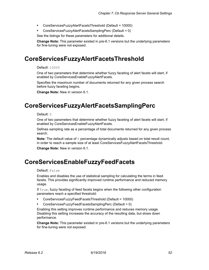- **•** CoreServicesFuzzyAlertFacetsThreshold (Default = 10000)
- **•** CoreServicesFuzzyAlertFacetsSamplingPerc (Default = 0)

See the listings for these parameters for additional details.

**Change Note:** This parameter existed in pre-6.1 versions but the underlying parameters for fine-tuning were not exposed.

### <span id="page-51-0"></span>**CoreServicesFuzzyAlertFacetsThreshold**

#### Default: 10000

One of two parameters that determine whether fuzzy faceting of alert facets will start, if enabled by CoreServicesEnableFuzzyAlertFacets.

Specifies the maximum number of documents returned for any given process search before fuzzy faceting begins.

**Change Note:** New in version 6.1.

# <span id="page-51-1"></span>**CoreServicesFuzzyAlertFacetsSamplingPerc**

#### Default: 0

One of two parameters that determine whether fuzzy faceting of alert facets will start, if enabled by CoreServicesEnableFuzzyAlertFacets.

Defines sampling rate as a percentage of total documents returned for any given process search.

**Note:** The default value of 0 percentage dynamically adjusts based on total result count, in order to reach a sample size of at least CoreServicesFuzzyAlertFacetsThreshold.

**Change Note:** New in version 6.1.

### <span id="page-51-2"></span>**CoreServicesEnableFuzzyFeedFacets**

#### Default: False

Enables and disables the use of statistical sampling for calculating the terms in feed facets. This provides significantly improved runtime performance and reduced memory usage.

If True, fuzzy faceting of feed facets begins when the following other configuration parameters reach a specified threshold:

- **•** CoreServicesFuzzyFeedFacetsThreshold (Default = 10000)
- **•** CoreServicesFuzzyFeedFacetsSamplingPerc (Default = 0)

Enabling this setting improves runtime performance and reduces memory usage. Disabling this setting increases the accuracy of the resulting data, but slows down performance.

**Change Note:** This parameter existed in pre-6.1 versions but the underlying parameters for fine-tuning were not exposed.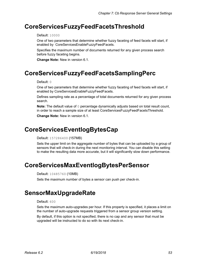### <span id="page-52-0"></span>**CoreServicesFuzzyFeedFacetsThreshold**

Default: 10000

One of two parameters that determine whether fuzzy faceting of feed facets will start, if enabled by CoreServicesEnableFuzzyFeedFacets.

Specifies the maximum number of documents returned for any given process search before fuzzy faceting begins.

**Change Note:** New in version 6.1.

# <span id="page-52-1"></span>**CoreServicesFuzzyFeedFacetsSamplingPerc**

#### Default: 0

One of two parameters that determine whether fuzzy faceting of feed facets will start, if enabled by CoreServicesEnableFuzzyFeedFacets.

Defines sampling rate as a percentage of total documents returned for any given process search.

**Note:** The default value of 0 percentage dynamically adjusts based on total result count, in order to reach a sample size of at least CoreServicesFuzzyFeedFacetsThreshold.

**Change Note:** New in version 6.1.

#### <span id="page-52-2"></span>**CoreServicesEventlogBytesCap**

Default: 157286400 (157MB)

Sets the upper limit on the aggregate number of bytes that can be uploaded by a group of sensors that will check-in during the next monitoring interval. You can disable this setting to make the resulting data more accurate, but it will significantly slow down performance.

### <span id="page-52-3"></span>**CoreServicesMaxEventlogBytesPerSensor**

Default: 10485760 (10MB)

Sets the maximum number of bytes a sensor can push per check-in.

#### <span id="page-52-4"></span>**SensorMaxUpgradeRate**

#### Default: 600

Sets the maximum auto-upgrades per hour. If this property is specified, it places a limit on the number of auto-upgrade requests triggered from a sensor group version setting.

By default, if this option is not specified, there is no cap and any sensor that must be upgraded will be instructed to do so with its next check-in.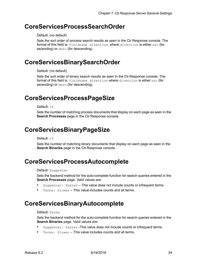#### <span id="page-53-0"></span>**CoreServicesProcessSearchOrder**

#### Default: (no default)

Sets the sort order of process search results as seen in the Cb Response console. The format of this field is: fieldname direction, where direction is either asc (for ascending) or desc (for descending).

#### <span id="page-53-1"></span>**CoreServicesBinarySearchOrder**

#### Default: (no default)

Sets the sort order of binary search results as seen in the Cb Response console. The format of this field is: fieldname direction where direction is either asc (for ascending) or desc (for descending).

#### <span id="page-53-2"></span>**CoreServicesProcessPageSize**

Default: 10

Sets the number of matching process documents that display on each page as seen in the **Search Processes** page in the Cb Response console.

#### <span id="page-53-3"></span>**CoreServicesBinaryPageSize**

Default: 10

Sets the number of matching binary documents that display on each page as seen in the **Search Binaries** page in the Cb Response console.

#### <span id="page-53-4"></span>**CoreServicesProcessAutocomplete**

#### Default: Suggester

Sets the backend method for the auto-complete function for search queries entered in the **Search Processes** page. Valid values are:

- **•** Suggester: Faster This value does not include counts or infrequent terms.
- **•** Terms: Slower This value includes counts and all terms.

#### <span id="page-53-5"></span>**CoreServicesBinaryAutocomplete**

#### Default: Terms

Sets the backend method for the auto-complete function for search queries entered in the **Search Binaries** page. Valid values are:

- **•** Suggester: Faster -This value does not include counts or infrequent terms.
- **•** Terms: Slower This value includes counts and all terms.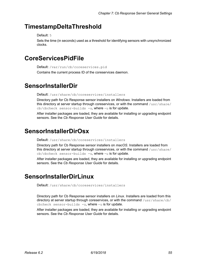# <span id="page-54-0"></span>**TimestampDeltaThreshold**

Default: 5

Sets the time (in seconds) used as a threshold for identifying sensors with unsynchronized clocks.

# <span id="page-54-1"></span>**CoreServicesPidFile**

Default: /var/run/cb/coreservices.pid

Contains the current process ID of the coreservices daemon.

# <span id="page-54-2"></span>**SensorInstallerDir**

Default: /usr/share/cb/coreservices/installers

Directory path for Cb Response sensor installers on *Windows*. Installers are loaded from this directory at server startup through coreservices, or with the command  $/usr/share/$  $cb/cbcheck$  sensor-builds -u, where -u is for update.

After installer packages are loaded, they are available for installing or upgrading endpoint sensors. See the *Cb Response User Guide* for details.

# <span id="page-54-3"></span>**SensorInstallerDirOsx**

Default: /usr/share/cb/coreservices/installers

Directory path for Cb Response sensor installers on *macOS*. Installers are loaded from this directory at server startup through coreservices, or with the command  $/usr/share/$ cb/cbcheck sensor-builds -u, where -u is for update.

After installer packages are loaded, they are available for installing or upgrading endpoint sensors. See the *Cb Response User Guide* for details.

### <span id="page-54-4"></span>**SensorInstallerDirLinux**

Default: /usr/share/cb/coreservices/installers

Directory path for Cb Response sensor installers on *Linux*. Installers are loaded from this directory at server startup through coreservices, or with the command /usr/share/cb/ cbcheck sensor-builds  $-u$ , where  $-u$  is for update.

After installer packages are loaded, they are available for installing or upgrading endpoint sensors. See the *Cb Response User Guide* for details.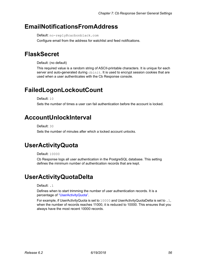# <span id="page-55-0"></span>**EmailNotificationsFromAddress**

Default: no-reply@carbonblack.com

Configure email from the address for watchlist and feed notifications.

#### <span id="page-55-1"></span>**FlaskSecret**

Default: (no default)

This required value is a random string of ASCII-printable characters. It is unique for each server and auto-generated during cbinit. It is used to encrypt session cookies that are used when a user authenticates with the Cb Response console.

# <span id="page-55-2"></span>**FailedLogonLockoutCount**

Default: 10

Sets the number of times a user can fail authentication before the account is locked.

# <span id="page-55-3"></span>**AccountUnlockInterval**

Default: 30

Sets the number of minutes after which a locked account unlocks.

# <span id="page-55-4"></span>**UserActivityQuota**

Default: 10000

Cb Response logs all user authentication in the PostgreSQL database. This setting defines the minimum number of authentication records that are kept.

# <span id="page-55-5"></span>**UserActivityQuotaDelta**

Default: .1

Defines when to start trimming the number of user authentication records. It is a percentage of ["UserActivityQuota".](#page-55-4)

For example, if UserActivityQuota is set to 10000 and UserActivityQuotaDelta is set to .1, when the number of records reaches 11000, it is reduced to 10000. This ensures that you always have the most recent 10000 records.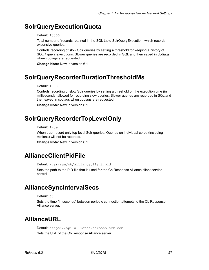# <span id="page-56-0"></span>**SolrQueryExecutionQuota**

#### Default: 10000

Total number of records retained in the SQL table SolrQueryExecution, which records expensive queries.

Controls recording of slow Solr queries by setting a threshold for keeping a history of SOLR query executions. Slower queries are recorded in SQL and then saved in cbdiags when cbdiags are requested.

**Change Note:** New in version 6.1.

# <span id="page-56-1"></span>**SolrQueryRecorderDurationThresholdMs**

#### Default: 1000

Controls recording of slow Solr queries by setting a threshold on the execution time (in milliseconds) allowed for recording slow queries. Slower queries are recorded in SQL and then saved in cbdiags when cbdiags are requested.

**Change Note:** New in version 6.1.

### <span id="page-56-2"></span>**SolrQueryRecorderTopLevelOnly**

#### Default: True

When true, record only top-level Solr queries. Queries on individual cores (including minions) will not be recorded.

**Change Note:** New in version 6.1.

#### <span id="page-56-3"></span>**AllianceClientPidFile**

Default: /var/run/cb/allianceclient.pid

Sets the path to the PID file that is used for the Cb Response Alliance client service control.

#### <span id="page-56-4"></span>**AllianceSyncIntervalSecs**

Default: 60

Sets the time (in seconds) between periodic connection attempts to the Cb Response Alliance server.

### <span id="page-56-5"></span>**AllianceURL**

Default: https://api.alliance.carbonblack.com Sets the URL of the Cb Response Alliance server.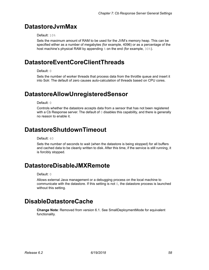#### <span id="page-57-0"></span>**DatastoreJvmMax**

Default: 10%

Sets the maximum amount of RAM to be used for the JVM's memory heap. This can be specified either as a number of megabytes (for example, 4096) or as a percentage of the host machine's physical RAM by appending  $\frac{1}{6}$  on the end (for example, 30 $\frac{1}{6}$ ).

### <span id="page-57-1"></span>**DatastoreEventCoreClientThreads**

#### Default: 0

Sets the number of worker threads that process data from the throttle queue and insert it into Solr. The default of zero causes auto-calculation of threads based on CPU cores.

### <span id="page-57-2"></span>**DatastoreAllowUnregisteredSensor**

Default: 0

Controls whether the datastore accepts data from a sensor that has not been registered with a Cb Response server. The default of  $0$  disables this capability, and there is generally no reason to enable it.

#### <span id="page-57-3"></span>**DatastoreShutdownTimeout**

Default: 60

Sets the number of seconds to wait (when the datastore is being stopped) for all buffers and cached data to be cleanly written to disk. After this time, if the service is still running, it is forcibly stopped.

#### <span id="page-57-4"></span>**DatastoreDisableJMXRemote**

#### Default: 0

Allows external Java management or a debugging process on the local machine to communicate with the datastore. If this setting is not 0, the datastore process is launched without this setting.

#### <span id="page-57-5"></span>**DisableDatastoreCache**

**Change Note**: Removed from version 6.1. See SmallDeploymentMode for equivalent functionality.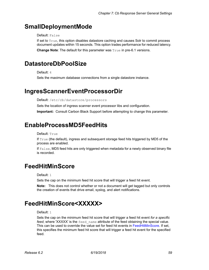# <span id="page-58-0"></span>**SmallDeploymentMode**

#### Default: False

If set to True, this option disables datastore caching and causes Solr to commit process document updates within 15 seconds. This option trades performance for reduced latency. **Change Note:** The default for this parameter was **True** in pre-6.1 versions.

# <span id="page-58-1"></span>**DatastoreDbPoolSize**

Default: 4

Sets the maximum database connections from a single datastore instance.

### <span id="page-58-2"></span>**IngresScannerEventProcessorDir**

Default: /etc/cb/datastore/processors

Sets the location of ingress scanner event processor libs and configuration.

**Important:** Consult Carbon Black Support before attempting to change this parameter.

# <span id="page-58-3"></span>**EnableProcessMD5FeedHits**

#### Default: True

If True (the default), ingress and subsequent storage feed hits triggered by MD5 of the process are enabled.

If False, MD5 feed hits are only triggered when metadata for a newly observed binary file is recorded.

### <span id="page-58-4"></span>**FeedHitMinScore**

Default: 1

Sets the cap on the minimum feed hit score that will trigger a feed hit event.

**Note:** This does not control whether or not a document will get tagged but only controls the creation of events that drive email, syslog, and alert notifications.

# <span id="page-58-5"></span>**FeedHitMinScore<XXXXX>**

Default: 1

Sets the cap on the minimum feed hit score that will trigger a feed hit event *for a specific feed*, where 'XXXXX' is the feed name attribute of the feed obtaining the special value. This can be used to override the value set for feed hit events in [FeedHitMinScore](#page-58-4). If set, this specifies the minimum feed hit score that will trigger a feed hit event for the specified feed.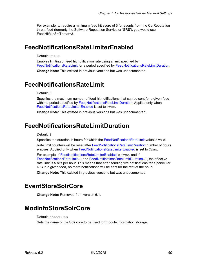For example, to require a minimum feed hit score of 3 for events from the Cb Reputation threat feed (formerly the Software Reputation Service or 'SRS'), you would use FeedHitMinSrsThreat=3.

### <span id="page-59-0"></span>**FeedNotificationsRateLimiterEnabled**

Default: False

Enables limiting of feed hit notification rate using a limit specified by [FeedNotificationsRateLimit](#page-59-1) for a period specified by [FeedNotificationsRateLimitDuration](#page-59-2).

**Change Note:** This existed in previous versions but was undocumented.

### <span id="page-59-1"></span>**FeedNotificationsRateLimit**

Default: 5

Specifies the maximum number of feed hit notifications that can be sent for a given feed within a period specified by [FeedNotificationsRateLimitDuration.](#page-59-2) Applied only when [FeedNotificationsRateLimiterEnabled](#page-59-0) is set to True.

**Change Note:** This existed in previous versions but was undocumented.

#### <span id="page-59-2"></span>**FeedNotificationsRateLimitDuration**

Default: 1

Specifies the duration in hours for which the [FeedNotificationsRateLimit](#page-59-1) value is valid.

Rate limit counters will be reset after [FeedNotificationsRateLimitDuration](#page-59-2) number of hours elapses. Applied only when [FeedNotificationsRateLimiterEnabled](#page-59-0) is set to True.

For example, if [FeedNotificationsRateLimiterEnabled](#page-59-0) is True, and if [FeedNotificationsRateLimit](#page-59-1)=5 and [FeedNotificationsRateLimitDuration](#page-59-2)=1, the effective rate limit is 5 hits per hour. This means that after sending five notifications for a particular IOC in a given feed, no more notifications will be sent for the rest of the hour.

**Change Note:** This existed in previous versions but was undocumented.

### <span id="page-59-3"></span>**EventStoreSolrCore**

**Change Note:** Removed from version 6.1.

# <span id="page-59-4"></span>**ModInfoStoreSolrCore**

Default: cbmodules

Sets the name of the Solr core to be used for module information storage.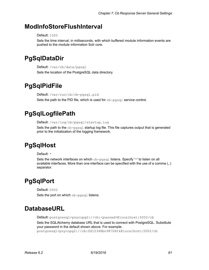### <span id="page-60-0"></span>**ModInfoStoreFlushInterval**

Default: 1000

Sets the time interval, in milliseconds, with which buffered module information events are pushed to the module information Solr core.

# <span id="page-60-1"></span>**PgSqlDataDir**

Default: /var/cb/data/pgsql Sets the location of the PostgreSQL data directory.

# <span id="page-60-2"></span>**PgSqlPidFile**

Default: /var/run/cb/cb-pgsql.pid

Sets the path to the PID file, which is used for cb-pgsql service control.

# <span id="page-60-3"></span>**PgSqlLogfilePath**

Default: /var/log/cb/pgsql/startup.log

Sets the path to the  $cb$ -pgsql startup log file. This file captures output that is generated prior to the initialization of the logging framework.

# <span id="page-60-4"></span>**PgSqlHost**

Default: \*

Sets the network interfaces on which  $cb$ - $pgsq1$  listens. Specify '\*' to listen on all available interfaces. More than one interface can be specified with the use of a comma  $\binom{n}{k}$ separator.

# <span id="page-60-5"></span>**PgSqlPort**

Default: 5002

Sets the port on which cb-pgsql listens.

# <span id="page-60-6"></span>**DatabaseURL**

Default: postgresql+psycopg2://cb:*<passwd>*@localhost:5002/cb

Sets the SQLAlchemy database URL that is used to connect with PostgreSQL. Substitute your password in the default shown above. For example: postgresql+psycopg2://cb:ZX1234Hbn987G4tk@localhost:5002/cb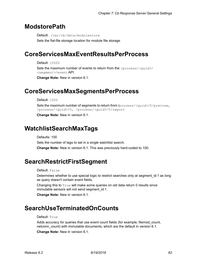#### <span id="page-61-0"></span>**ModstorePath**

Default: /var/cb/data/modulestore

Sets the flat-file storage location for module file storage.

### <span id="page-61-1"></span>**CoreServicesMaxEventResultsPerProcess**

Default: 10000

Sets the maximum number of events to return from the /process/*<guid>*/ *<segment>*/event API.

**Change Note:** New in version 6.1.

### <span id="page-61-2"></span>**CoreServicesMaxSegmentsPerProcess**

Default: 1000

Sets the maximum number of segments to return from /process/*<guid>*/0/preview, /process/*<guid>*/0, /process/*<guid>*/0/report **Change Note:** New in version 6.1.

# <span id="page-61-3"></span>**WatchlistSearchMaxTags**

Defaults: 100

Sets the number of tags to set in a single watchlist search.

**Change Note:** New in version 6.1. This was previously hard-coded to 100.

# <span id="page-61-4"></span>**SearchRestrictFirstSegment**

#### Default: False

Determines whether to use special logic to restrict searches only at segment\_id:1 as long as query doesn't contain event fields.

Changing this to  $True$  will make some queries on old data return 0 results since immutable sensors will not send segment\_id:1.

**Change Note:** New in version 6.1.

# <span id="page-61-5"></span>**SearchUseTerminatedOnCounts**

#### Default: True

Adds accuracy for queries that use event count fields (for example, filemod\_count, netconn\_count) with immutable documents, which are the default in version 6.1.

**Change Note:** New in version 6.1.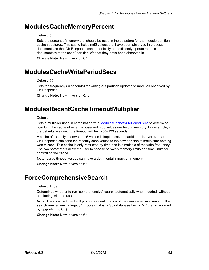# <span id="page-62-0"></span>**ModulesCacheMemoryPercent**

Default: 5

Sets the percent of memory that should be used in the datastore for the module partition cache structures. This cache holds md5 values that have been observed in process documents so that Cb Response can periodically and efficiently update module documents with the set of partition id's that they have been observed in.

**Change Note:** New in version 6.1.

# <span id="page-62-1"></span>**ModulesCacheWritePeriodSecs**

Default: 30

Sets the frequency (in seconds) for writing out partition updates to modules observed by Cb Response.

**Change Note:** New in version 6.1.

# <span id="page-62-2"></span>**ModulesRecentCacheTimeoutMultiplier**

Default: 4

Sets a multiplier used in combination with [ModulesCacheWritePeriodSecs](#page-62-1) to determine how long the cache of recently observed md5 values are held in memory. For example, if the defaults are used, the timeout will be 4x30=120 seconds.

A cache of recently observed md5 values is kept in case a partition rolls over, so that Cb Response can send the recently seen values to the new partition to make sure nothing was missed. This cache is only restricted by time and is a multiple of the write frequency. The two parameters allow the user to choose between memory limits and time limits for controlling the cache.

**Note:** Large timeout values can have a detrimental impact on memory.

**Change Note:** New in version 6.1.

### <span id="page-62-3"></span>**ForceComprehensiveSearch**

#### Default: True

Determines whether to run "comprehensive" search automatically when needed, without confirming with the user.

**Note:** The console UI will still prompt for confirmation of the comprehensive search if the search runs against a legacy 5.x core (that is, a Solr database built in 5.2 that is replaced by upgrading to 6.x).

**Change Note:** New in version 6.1.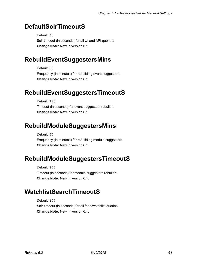# <span id="page-63-0"></span>**DefaultSolrTimeoutS**

Default: 60 Solr timeout (in seconds) for all UI and API queries. **Change Note:** New in version 6.1.

# <span id="page-63-1"></span>**RebuildEventSuggestersMins**

Default: 30 Frequency (in minutes) for rebuilding event suggesters. **Change Note:** New in version 6.1.

# <span id="page-63-2"></span>**RebuildEventSuggestersTimeoutS**

Default: 120 Timeout (in seconds) for event suggesters rebuilds. **Change Note:** New in version 6.1.

# <span id="page-63-3"></span>**RebuildModuleSuggestersMins**

Default: 30

Frequency (in minutes) for rebuilding module suggesters. **Change Note:** New in version 6.1.

# <span id="page-63-4"></span>**RebuildModuleSuggestersTimeoutS**

Default: 120 Timeout (in seconds) for module suggesters rebuilds. **Change Note:** New in version 6.1.

# <span id="page-63-5"></span>**WatchlistSearchTimeoutS**

Default: 120 Solr timeout (in seconds) for all feed/watchlist queries. **Change Note:** New in version 6.1.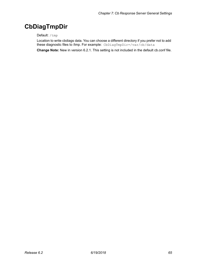# <span id="page-64-0"></span>**CbDiagTmpDir**

Default: /tmp

Location to write cbdiags data. You can choose a different directory if you prefer not to add these diagnostic files to /tmp. For example: CbDiagTmpDir=/var/cb/data **Change Note:** New in version 6.2.1. This setting is not included in the default cb.conf file.

*Release 6.2 6/19/2018 65*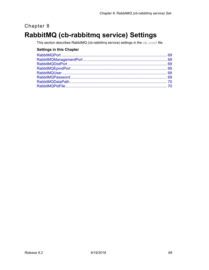# Chapter 8 RabbitMQ (cb-rabbitmq service) Settings

This section describes RabbitMQ (cb-rabbitmq service) settings in the cb. conf file.

#### **Settings in this Chapter**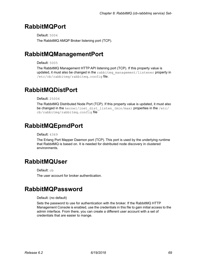### <span id="page-68-0"></span>**RabbitMQPort**

Default: 5004

The RabbitMQ AMQP Broker listening port (TCP).

# <span id="page-68-1"></span>**RabbitMQManagementPort**

Default: 5005

The RabbitMQ Management HTTP API listening port (TCP). If this property value is updated, it must also be changed in the rabbitmq management/listener property in /etc/cb/rabbitmq/rabbitmq.config file.

# <span id="page-68-2"></span>**RabbitMQDistPort**

Default: 25004

The RabbitMQ Distributed Node Port (TCP). If this property value is updated, it must also be changed in the kernel/inet dist listen (min/max) properties in the /etc/ cb/rabbitmq/rabbitmq.config file

# <span id="page-68-3"></span>**RabbitMQEpmdPort**

Default: 4369

The Erlang Port Mapper Daemon port (TCP). This port is used by the underlying runtime that RabbitMQ is based on. It is needed for distributed node discovery in clustered environments.

# <span id="page-68-4"></span>**RabbitMQUser**

Default: cb

The user account for broker authentication.

### <span id="page-68-5"></span>**RabbitMQPassword**

Default: (no default)

Sets the password to use for authentication with the broker. If the RabbitMQ HTTP Management Console is enabled, use the credentials in this file to gain initial access to the admin interface. From there, you can create a different user account with a set of credentials that are easier to mange.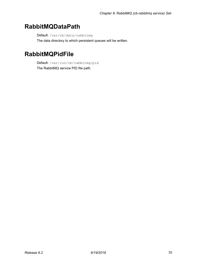# <span id="page-69-0"></span>**RabbitMQDataPath**

Default: /var/cb/data/rabbitmq

The data directory to which persistent queues will be written.

# <span id="page-69-1"></span>**RabbitMQPidFile**

Default: /var/run/cb/rabbitmq/pid The RabbitMQ service PID file path.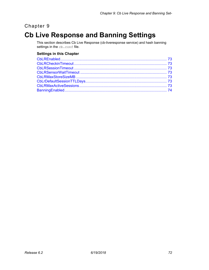# Chapter 9 **Cb Live Response and Banning Settings**

This section describes Cb Live Response (cb-liveresponse service) and hash banning settings in the cb.conf file.

#### **Settings in this Chapter**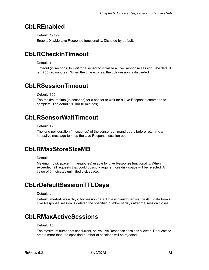#### **CbLREnabled**

Default: False

Enable/Disable Live Response functionality. Disabled by default.

### **CbLRCheckinTimeout**

Default: 1200

Timeout (in seconds) to wait for a sensor to initialize a Live Response session. The default is 1200 (20 minutes). When the time expires, the cblr session is discarded.

### **CbLRSessionTimeout**

Default: 300

The maximum time (in seconds) for a sensor to wait for a Live Response command to complete. The default is 300 (5 minutes).

### **CbLRSensorWaitTimeout**

Default: 120

The long poll duration (in seconds) of the sensor command query before returning a keepalive message to keep the Live Response session open.

### **CbLRMaxStoreSizeMB**

#### Default: 0

Maximum disk space (in megabytes) usable by Live Response functionality. When exceeded, all requests that could possibly require more disk space will be rejected. A value of 0 indicates unlimited disk space.

## **CbLrDefaultSessionTTLDays**

Default: 7

Default time-to-live (in days) for session data. Unless overwritten via the API, data from a Live Response session is deleted the specified number of days after the session closes.

## **CbLRMaxActiveSessions**

#### Default: 10

The maximum number of concurrent, active Live Response sessions allowed. Requests to create more than the specified number of sessions will be rejected.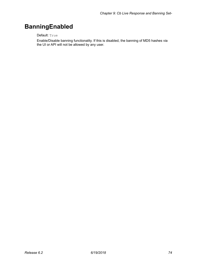## **BanningEnabled**

#### Default: True

Enable/Disable banning functionality. If this is disabled, the banning of MD5 hashes via the UI or API will not be allowed by any user.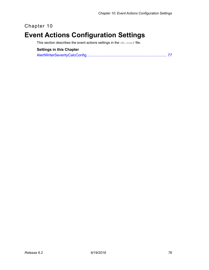# Chapter 10 **Event Actions Configuration Settings**

This section describes the event actions settings in the cb.conf file.

#### **Settings in this Chapter**

[AlertWriterSeverityCalcConfig............................................................................. 77](#page-76-0)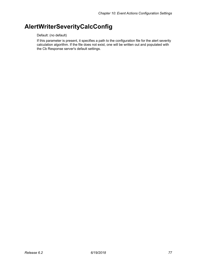## <span id="page-76-0"></span>**AlertWriterSeverityCalcConfig**

#### Default: (no default)

If this parameter is present, it specifies a path to the configuration file for the alert severity calculation algorithm. If the file does not exist, one will be written out and populated with the Cb Response server's default settings.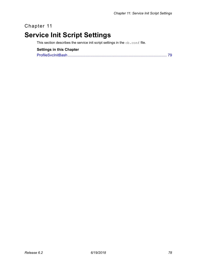# Chapter 11 **Service Init Script Settings**

This section describes the service init script settings in the cb.conf file.

#### **Settings in this Chapter**

[ProfileSvcInitBash............................................................................................... 79](#page-78-0)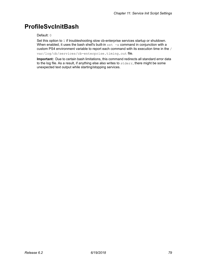### <span id="page-78-0"></span>**ProfileSvcInitBash**

Default: 0

Set this option to 1 if troubleshooting slow cb-enterprise services startup or shutdown. When enabled, it uses the bash shell's built-in set  $-x$  command in conjunction with a custom PS4 environment variable to report each command with its execution time in the / var/log/cb/services/cb-enterprise.timing.out file.

**Important:** Due to certain bash limitations, this command redirects all standard error data to the log file. As a result, if anything else also writes to stderr, there might be some unexpected text output while starting/stopping services.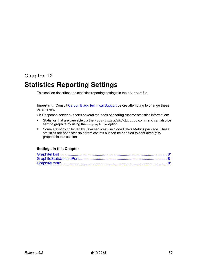#### Chapter 12

## **Statistics Reporting Settings**

This section describes the statistics reporting settings in the cb.conf file.

**Important:** Consult [Carbon Black Technical Support](#page-13-0) before attempting to change these parameters.

Cb Response server supports several methods of sharing runtime statistics information:

- **•** Statistics that are viewable via the /usr/share/cb/cbstats command can also be sent to graphite by using the --graphite option.
- **•** Some statistics collected by Java services use Coda Hale's Metrics package. These statistics are not accessible from cbstats but can be enabled to sent directly to graphite in this section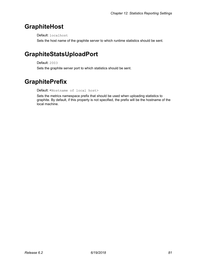#### <span id="page-80-0"></span>**GraphiteHost**

Default: localhost

Sets the host name of the graphite server to which runtime statistics should be sent.

#### <span id="page-80-1"></span>**GraphiteStatsUploadPort**

Default: 2003

Sets the graphite server port to which statistics should be sent.

### <span id="page-80-2"></span>**GraphitePrefix**

Default: <Hostname of local host>

Sets the metrics namespace prefix that should be used when uploading statistics to graphite. By default, if this property is not specified, the prefix will be the hostname of the local machine.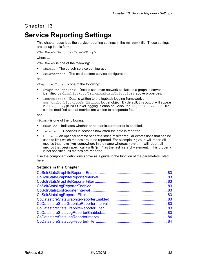#### Chapter 13

## **Service Reporting Settings**

This chapter describes the service reporting settings in the  $cb$ . conf file. These settings are set up in this format:

<SvcName><ReporterType><Prop>

#### where ...

<SvcName> is one of the following:

- **•** CbSolr The cb-solr service configuration.
- **•** CbDatastore The cb-datastore service configuration.

and ...

<ReporterType> is one of the following:

- **•** GraphiteReporter Data is sent over network sockets to a graphite server identified by GraphiteHost/GraphiteStatsUploadPort above properties.
- **•** LogReporter Data is written to the logback logging framework's com.carbonblack.cbfs.Metrics logger object. By default, this output will appear in debug.  $log$  (if INFO level logging is enabled). Also, the  $logback.comf$ ,  $xml$  file can be modified so that metrics are written to a separate file.

and ...

 $\langle$ Prop $>$  is one of the following:

- Enabled Indicates whether or not particular reporter is enabled.
- **•** Interval Specifies in seconds how often the data is reported.
- **•** Filter An optional comma separate string of filter regular expressions that can be used to limit which metrics are to be reported. For example .\*jvm.\* will report all metrics that have 'jvm' somewhere in the name whereas  $\frac{1}{2}$ vm $\backslash$ .. + will report all metrics that begin specifically with "jvm." as the first hierarchy element. If this property is not specified, all metrics are reported.

Use the component definitions above as a guide to the function of the parameters listed here.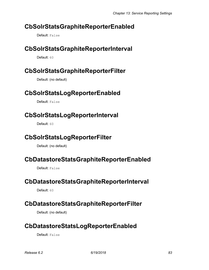## <span id="page-82-0"></span>**CbSolrStatsGraphiteReporterEnabled**

Default: False

## <span id="page-82-1"></span>**CbSolrStatsGraphiteReporterInterval**

Default: 60

## <span id="page-82-2"></span>**CbSolrStatsGraphiteReporterFilter**

Default: (no default)

## <span id="page-82-3"></span>**CbSolrStatsLogReporterEnabled**

Default: False

### <span id="page-82-4"></span>**CbSolrStatsLogReporterInterval**

Default: 60

### <span id="page-82-5"></span>**CbSolrStatsLogReporterFilter**

Default: (no default)

### <span id="page-82-6"></span>**CbDatastoreStatsGraphiteReporterEnabled**

Default: False

### <span id="page-82-7"></span>**CbDatastoreStatsGraphiteReporterInterval**

Default: 60

### <span id="page-82-8"></span>**CbDatastoreStatsGraphiteReporterFilter**

Default: (no default)

### <span id="page-82-9"></span>**CbDatastoreStatsLogReporterEnabled**

Default: False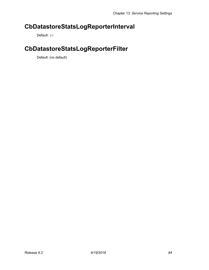## <span id="page-83-0"></span>**CbDatastoreStatsLogReporterInterval**

Default: 60

## <span id="page-83-1"></span>**CbDatastoreStatsLogReporterFilter**

Default: (no default)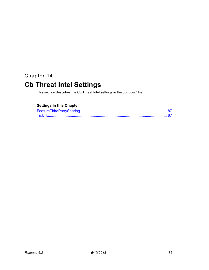#### Chapter 14

# **Cb Threat Intel Settings**

This section describes the Cb Threat Intel settings in the cb.conf file.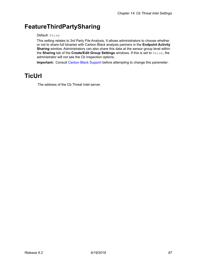### <span id="page-86-0"></span>**FeatureThirdPartySharing**

Default: False

This setting relates to 3rd Party File Analysis. It allows administrators to choose whether or not to share full binaries with Carbon Black analysis partners in the **Endpoint Activity Sharing** window. Administrators can also share this data at the sensor group level within the **Sharing** tab of the **Create/Edit Group Settings** windows. If this is set to False, the administrator will not see the Cb Inspection options.

**Important:** [Consult C](https://www.carbonblack.com/support)arbon Black Support before attempting to change this parameter.

### <span id="page-86-1"></span>**TicUrl**

The address of the Cb Threat Intel server.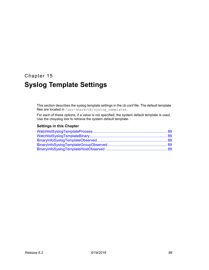## Chapter 15 **Syslog Template Settings**

This section describes the syslog template settings in the cb.conf file. The default template files are located in /usr/share/cb/syslog\_templates.

For each of these options, if a value is not specified, the system default template is used. Use the cbsyslog tool to retrieve the system default template.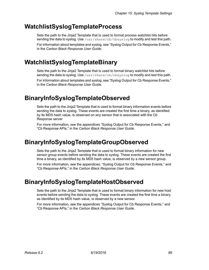#### <span id="page-88-0"></span>**WatchlistSyslogTemplateProcess**

Sets the path to the Jinja2 Template that is used to format process watchlist hits before sending the data to syslog. Use /usr/share/cb/cbsyslog to modify and test this path.

For information about templates and syslog, see "Syslog Output for Cb Response Events," in the *Carbon Black Response User Guide*.

### <span id="page-88-1"></span>**WatchlistSyslogTemplateBinary**

Sets the path to the Jinja2 Template that is used to format binary watchlist hits before sending the data to syslog. Use /usr/share/cb/cbsyslog to modify and test this path.

For information about templates and syslog, see "Syslog Output for Cb Response Events," in the *Carbon Black Response User Guide*.

#### <span id="page-88-2"></span>**BinaryInfoSyslogTemplateObserved**

Sets the path to the Jinja2 Template that is used to format binary information events before sending the data to syslog. These events are created the first time a binary, as identified by its MD5 hash value, is observed on any sensor that is associated with the Cb Response server

For more information, see the appendices "Syslog Output for Cb Response Events," and "Cb Response APIs," in the *Carbon Black Response User Guide*.

### <span id="page-88-3"></span>**BinaryInfoSyslogTemplateGroupObserved**

Sets the path to the Jinja2 Template that is used to format binary information for new sensor group events before sending the data to syslog. These events are created the first time a binary, as identified by its MD5 hash value, is observed by a new sensor group.

For more information, see the appendices, "Syslog Output for Cb Response Events," and "Cb Response APIs," in the *Carbon Black Response User Guide*.

### <span id="page-88-4"></span>**BinaryInfoSyslogTemplateHostObserved**

Sets the path to the Jinja2 Template that is used to format binary information for new host events before sending the data to syslog. These events are created the first time a binary, as identified by its MD5 hash value, is observed by a new sensor.

For more information, see the appendices "Syslog Output for Cb Response Events," and "Cb Response APIs," in the *Carbon Black Response User Guide*.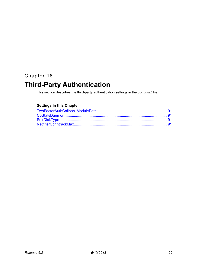# Chapter 16 **Third-Party Authentication**

This section describes the third-party authentication settings in the cb.conf file.